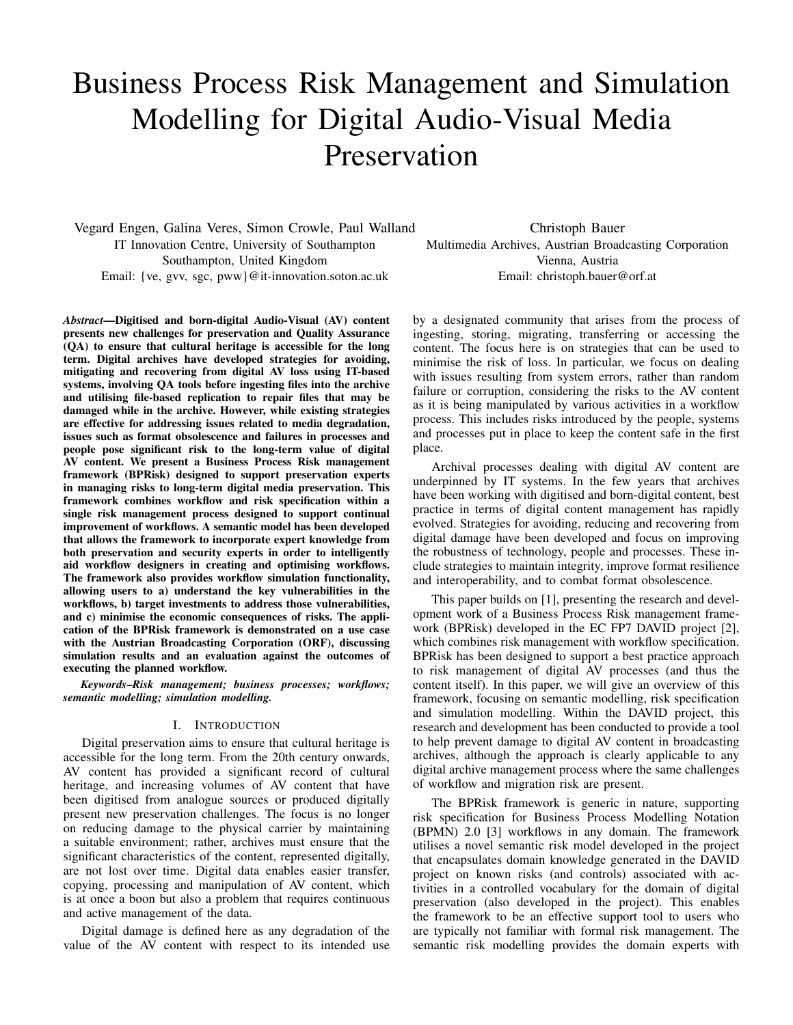# Business Process Risk Management and Simulation Modelling for Digital Audio-Visual Media Preservation

Vegard Engen, Galina Veres, Simon Crowle, Paul Walland IT Innovation Centre, University of Southampton Southampton, United Kingdom Email: {ve, gvv, sgc, pww}@it-innovation.soton.ac.uk

> by a designated community that arises from the process of ingesting, storing, migrating, transferring or accessing the content. The focus here is on strategies that can be used to minimise the risk of loss. In particular, we focus on dealing with issues resulting from system errors, rather than random failure or corruption, considering the risks to the AV content as it is being manipulated by various activities in a workflow process. This includes risks introduced by the people, systems and processes put in place to keep the content safe in the first place. Archival processes dealing with digital AV content are

underpinned by IT systems. In the few years that archives have been working with digitised and born-digital content, best practice in terms of digital content management has rapidly evolved. Strategies for avoiding, reducing and recovering from digital damage have been developed and focus on improving the robustness of technology, people and processes. These include strategies to maintain integrity, improve format resilience and interoperability, and to combat format obsolescence.

Christoph Bauer Multimedia Archives, Austrian Broadcasting Corporation Vienna, Austria Email: christoph.bauer@orf.at

This paper builds on [1], presenting the research and development work of a Business Process Risk management framework (BPRisk) developed in the EC FP7 DAVID project [2], which combines risk management with workflow specification. BPRisk has been designed to support a best practice approach to risk management of digital AV processes (and thus the content itself). In this paper, we will give an overview of this framework, focusing on semantic modelling, risk specification and simulation modelling. Within the DAVID project, this research and development has been conducted to provide a tool to help prevent damage to digital AV content in broadcasting archives, although the approach is clearly applicable to any digital archive management process where the same challenges of workflow and migration risk are present.

The BPRisk framework is generic in nature, supporting risk specification for Business Process Modelling Notation (BPMN) 2.0 [3] workflows in any domain. The framework utilises a novel semantic risk model developed in the project that encapsulates domain knowledge generated in the DAVID project on known risks (and controls) associated with activities in a controlled vocabulary for the domain of digital preservation (also developed in the project). This enables the framework to be an effective support tool to users who are typically not familiar with formal risk management. The semantic risk modelling provides the domain experts with

*Abstract*—Digitised and born-digital Audio-Visual (AV) content presents new challenges for preservation and Quality Assurance (QA) to ensure that cultural heritage is accessible for the long term. Digital archives have developed strategies for avoiding, mitigating and recovering from digital AV loss using IT-based systems, involving QA tools before ingesting files into the archive and utilising file-based replication to repair files that may be damaged while in the archive. However, while existing strategies are effective for addressing issues related to media degradation, issues such as format obsolescence and failures in processes and people pose significant risk to the long-term value of digital AV content. We present a Business Process Risk management framework (BPRisk) designed to support preservation experts in managing risks to long-term digital media preservation. This framework combines workflow and risk specification within a single risk management process designed to support continual improvement of workflows. A semantic model has been developed that allows the framework to incorporate expert knowledge from both preservation and security experts in order to intelligently aid workflow designers in creating and optimising workflows. The framework also provides workflow simulation functionality, allowing users to a) understand the key vulnerabilities in the workflows, b) target investments to address those vulnerabilities, and c) minimise the economic consequences of risks. The application of the BPRisk framework is demonstrated on a use case with the Austrian Broadcasting Corporation (ORF), discussing simulation results and an evaluation against the outcomes of executing the planned workflow.

*Keywords*–*Risk management; business processes; workflows; semantic modelling; simulation modelling.*

## I. INTRODUCTION

Digital preservation aims to ensure that cultural heritage is accessible for the long term. From the 20th century onwards, AV content has provided a significant record of cultural heritage, and increasing volumes of AV content that have been digitised from analogue sources or produced digitally present new preservation challenges. The focus is no longer on reducing damage to the physical carrier by maintaining a suitable environment; rather, archives must ensure that the significant characteristics of the content, represented digitally, are not lost over time. Digital data enables easier transfer, copying, processing and manipulation of AV content, which is at once a boon but also a problem that requires continuous and active management of the data.

Digital damage is defined here as any degradation of the value of the AV content with respect to its intended use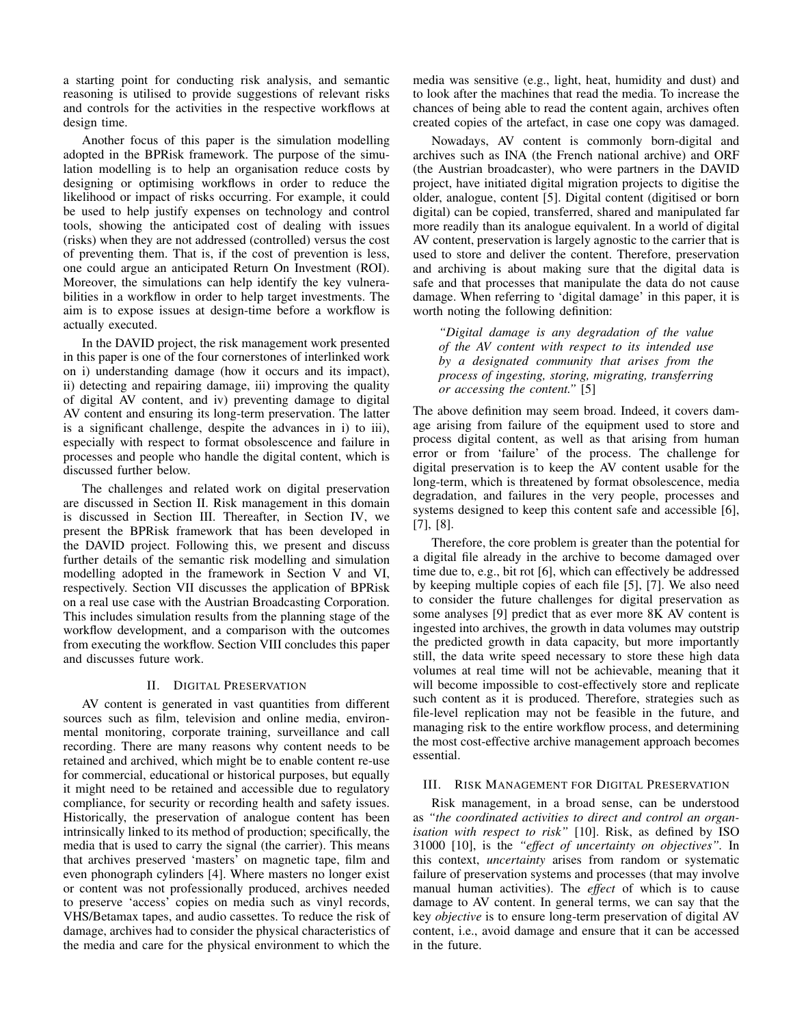a starting point for conducting risk analysis, and semantic reasoning is utilised to provide suggestions of relevant risks and controls for the activities in the respective workflows at design time.

Another focus of this paper is the simulation modelling adopted in the BPRisk framework. The purpose of the simulation modelling is to help an organisation reduce costs by designing or optimising workflows in order to reduce the likelihood or impact of risks occurring. For example, it could be used to help justify expenses on technology and control tools, showing the anticipated cost of dealing with issues (risks) when they are not addressed (controlled) versus the cost of preventing them. That is, if the cost of prevention is less, one could argue an anticipated Return On Investment (ROI). Moreover, the simulations can help identify the key vulnerabilities in a workflow in order to help target investments. The aim is to expose issues at design-time before a workflow is actually executed.

In the DAVID project, the risk management work presented in this paper is one of the four cornerstones of interlinked work on i) understanding damage (how it occurs and its impact), ii) detecting and repairing damage, iii) improving the quality of digital AV content, and iv) preventing damage to digital AV content and ensuring its long-term preservation. The latter is a significant challenge, despite the advances in i) to iii), especially with respect to format obsolescence and failure in processes and people who handle the digital content, which is discussed further below.

The challenges and related work on digital preservation are discussed in Section II. Risk management in this domain is discussed in Section III. Thereafter, in Section IV, we present the BPRisk framework that has been developed in the DAVID project. Following this, we present and discuss further details of the semantic risk modelling and simulation modelling adopted in the framework in Section V and VI, respectively. Section VII discusses the application of BPRisk on a real use case with the Austrian Broadcasting Corporation. This includes simulation results from the planning stage of the workflow development, and a comparison with the outcomes from executing the workflow. Section VIII concludes this paper and discusses future work.

## II. DIGITAL PRESERVATION

AV content is generated in vast quantities from different sources such as film, television and online media, environmental monitoring, corporate training, surveillance and call recording. There are many reasons why content needs to be retained and archived, which might be to enable content re-use for commercial, educational or historical purposes, but equally it might need to be retained and accessible due to regulatory compliance, for security or recording health and safety issues. Historically, the preservation of analogue content has been intrinsically linked to its method of production; specifically, the media that is used to carry the signal (the carrier). This means that archives preserved 'masters' on magnetic tape, film and even phonograph cylinders [4]. Where masters no longer exist or content was not professionally produced, archives needed to preserve 'access' copies on media such as vinyl records, VHS/Betamax tapes, and audio cassettes. To reduce the risk of damage, archives had to consider the physical characteristics of the media and care for the physical environment to which the media was sensitive (e.g., light, heat, humidity and dust) and to look after the machines that read the media. To increase the chances of being able to read the content again, archives often created copies of the artefact, in case one copy was damaged.

Nowadays, AV content is commonly born-digital and archives such as INA (the French national archive) and ORF (the Austrian broadcaster), who were partners in the DAVID project, have initiated digital migration projects to digitise the older, analogue, content [5]. Digital content (digitised or born digital) can be copied, transferred, shared and manipulated far more readily than its analogue equivalent. In a world of digital AV content, preservation is largely agnostic to the carrier that is used to store and deliver the content. Therefore, preservation and archiving is about making sure that the digital data is safe and that processes that manipulate the data do not cause damage. When referring to 'digital damage' in this paper, it is worth noting the following definition:

*"Digital damage is any degradation of the value of the AV content with respect to its intended use by a designated community that arises from the process of ingesting, storing, migrating, transferring or accessing the content."* [5]

The above definition may seem broad. Indeed, it covers damage arising from failure of the equipment used to store and process digital content, as well as that arising from human error or from 'failure' of the process. The challenge for digital preservation is to keep the AV content usable for the long-term, which is threatened by format obsolescence, media degradation, and failures in the very people, processes and systems designed to keep this content safe and accessible [6], [7], [8].

Therefore, the core problem is greater than the potential for a digital file already in the archive to become damaged over time due to, e.g., bit rot [6], which can effectively be addressed by keeping multiple copies of each file [5], [7]. We also need to consider the future challenges for digital preservation as some analyses [9] predict that as ever more 8K AV content is ingested into archives, the growth in data volumes may outstrip the predicted growth in data capacity, but more importantly still, the data write speed necessary to store these high data volumes at real time will not be achievable, meaning that it will become impossible to cost-effectively store and replicate such content as it is produced. Therefore, strategies such as file-level replication may not be feasible in the future, and managing risk to the entire workflow process, and determining the most cost-effective archive management approach becomes essential.

#### III. RISK MANAGEMENT FOR DIGITAL PRESERVATION

Risk management, in a broad sense, can be understood as *"the coordinated activities to direct and control an organisation with respect to risk"* [10]. Risk, as defined by ISO 31000 [10], is the *"effect of uncertainty on objectives".* In this context, *uncertainty* arises from random or systematic failure of preservation systems and processes (that may involve manual human activities). The *effect* of which is to cause damage to AV content. In general terms, we can say that the key *objective* is to ensure long-term preservation of digital AV content, i.e., avoid damage and ensure that it can be accessed in the future.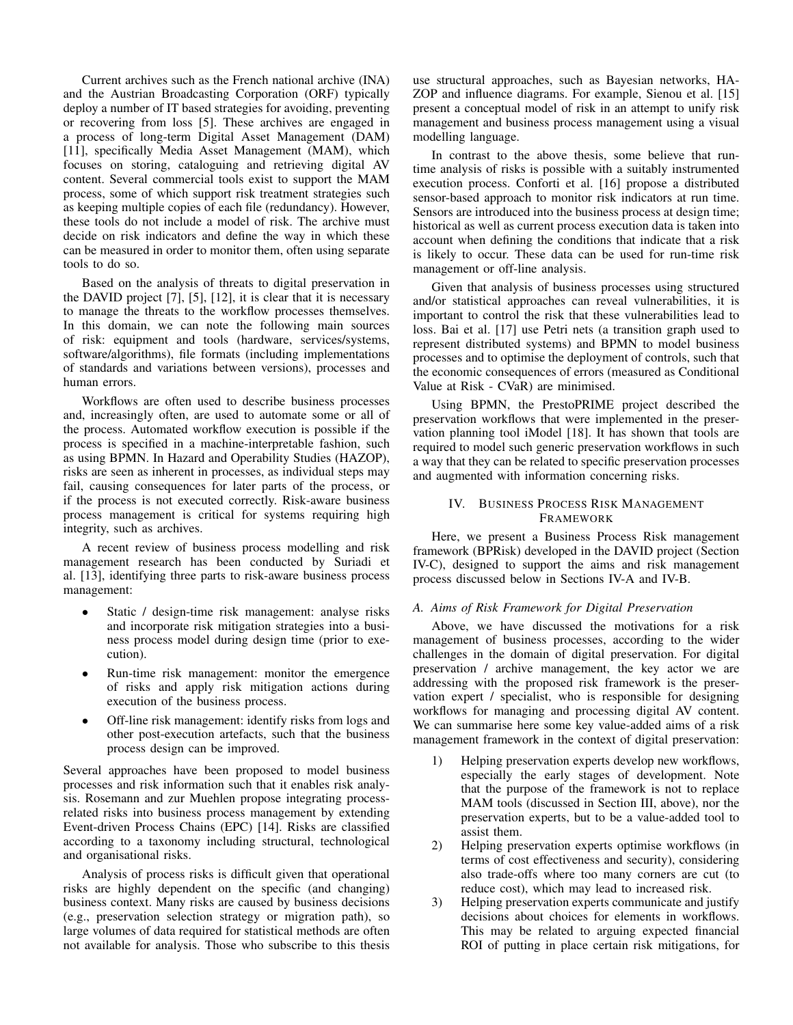Current archives such as the French national archive (INA) and the Austrian Broadcasting Corporation (ORF) typically deploy a number of IT based strategies for avoiding, preventing or recovering from loss [5]. These archives are engaged in a process of long-term Digital Asset Management (DAM) [11], specifically Media Asset Management (MAM), which focuses on storing, cataloguing and retrieving digital AV content. Several commercial tools exist to support the MAM process, some of which support risk treatment strategies such as keeping multiple copies of each file (redundancy). However, these tools do not include a model of risk. The archive must decide on risk indicators and define the way in which these can be measured in order to monitor them, often using separate tools to do so.

Based on the analysis of threats to digital preservation in the DAVID project [7], [5], [12], it is clear that it is necessary to manage the threats to the workflow processes themselves. In this domain, we can note the following main sources of risk: equipment and tools (hardware, services/systems, software/algorithms), file formats (including implementations of standards and variations between versions), processes and human errors.

Workflows are often used to describe business processes and, increasingly often, are used to automate some or all of the process. Automated workflow execution is possible if the process is specified in a machine-interpretable fashion, such as using BPMN. In Hazard and Operability Studies (HAZOP), risks are seen as inherent in processes, as individual steps may fail, causing consequences for later parts of the process, or if the process is not executed correctly. Risk-aware business process management is critical for systems requiring high integrity, such as archives.

A recent review of business process modelling and risk management research has been conducted by Suriadi et al. [13], identifying three parts to risk-aware business process management:

- Static / design-time risk management: analyse risks and incorporate risk mitigation strategies into a business process model during design time (prior to execution).
- Run-time risk management: monitor the emergence of risks and apply risk mitigation actions during execution of the business process.
- Off-line risk management: identify risks from logs and other post-execution artefacts, such that the business process design can be improved.

Several approaches have been proposed to model business processes and risk information such that it enables risk analysis. Rosemann and zur Muehlen propose integrating processrelated risks into business process management by extending Event-driven Process Chains (EPC) [14]. Risks are classified according to a taxonomy including structural, technological and organisational risks.

Analysis of process risks is difficult given that operational risks are highly dependent on the specific (and changing) business context. Many risks are caused by business decisions (e.g., preservation selection strategy or migration path), so large volumes of data required for statistical methods are often not available for analysis. Those who subscribe to this thesis use structural approaches, such as Bayesian networks, HA-ZOP and influence diagrams. For example, Sienou et al. [15] present a conceptual model of risk in an attempt to unify risk management and business process management using a visual modelling language.

In contrast to the above thesis, some believe that runtime analysis of risks is possible with a suitably instrumented execution process. Conforti et al. [16] propose a distributed sensor-based approach to monitor risk indicators at run time. Sensors are introduced into the business process at design time; historical as well as current process execution data is taken into account when defining the conditions that indicate that a risk is likely to occur. These data can be used for run-time risk management or off-line analysis.

Given that analysis of business processes using structured and/or statistical approaches can reveal vulnerabilities, it is important to control the risk that these vulnerabilities lead to loss. Bai et al. [17] use Petri nets (a transition graph used to represent distributed systems) and BPMN to model business processes and to optimise the deployment of controls, such that the economic consequences of errors (measured as Conditional Value at Risk - CVaR) are minimised.

Using BPMN, the PrestoPRIME project described the preservation workflows that were implemented in the preservation planning tool iModel [18]. It has shown that tools are required to model such generic preservation workflows in such a way that they can be related to specific preservation processes and augmented with information concerning risks.

## IV. BUSINESS PROCESS RISK MANAGEMENT FRAMEWORK

Here, we present a Business Process Risk management framework (BPRisk) developed in the DAVID project (Section IV-C), designed to support the aims and risk management process discussed below in Sections IV-A and IV-B.

# *A. Aims of Risk Framework for Digital Preservation*

Above, we have discussed the motivations for a risk management of business processes, according to the wider challenges in the domain of digital preservation. For digital preservation / archive management, the key actor we are addressing with the proposed risk framework is the preservation expert / specialist, who is responsible for designing workflows for managing and processing digital AV content. We can summarise here some key value-added aims of a risk management framework in the context of digital preservation:

- 1) Helping preservation experts develop new workflows, especially the early stages of development. Note that the purpose of the framework is not to replace MAM tools (discussed in Section III, above), nor the preservation experts, but to be a value-added tool to assist them.
- 2) Helping preservation experts optimise workflows (in terms of cost effectiveness and security), considering also trade-offs where too many corners are cut (to reduce cost), which may lead to increased risk.
- 3) Helping preservation experts communicate and justify decisions about choices for elements in workflows. This may be related to arguing expected financial ROI of putting in place certain risk mitigations, for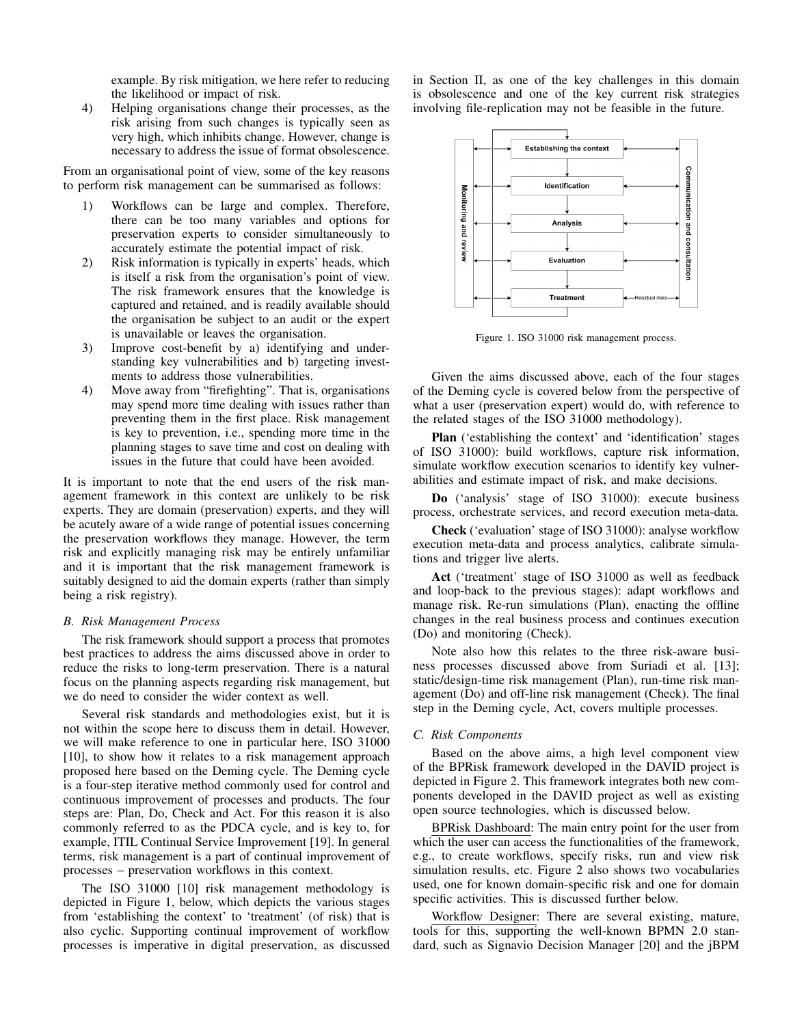example. By risk mitigation, we here refer to reducing the likelihood or impact of risk.

4) Helping organisations change their processes, as the risk arising from such changes is typically seen as very high, which inhibits change. However, change is necessary to address the issue of format obsolescence.

From an organisational point of view, some of the key reasons to perform risk management can be summarised as follows:

- 1) Workflows can be large and complex. Therefore, there can be too many variables and options for preservation experts to consider simultaneously to accurately estimate the potential impact of risk.
- 2) Risk information is typically in experts' heads, which is itself a risk from the organisation's point of view. The risk framework ensures that the knowledge is captured and retained, and is readily available should the organisation be subject to an audit or the expert is unavailable or leaves the organisation.
- 3) Improve cost-benefit by a) identifying and understanding key vulnerabilities and b) targeting investments to address those vulnerabilities.
- 4) Move away from "firefighting". That is, organisations may spend more time dealing with issues rather than preventing them in the first place. Risk management is key to prevention, i.e., spending more time in the planning stages to save time and cost on dealing with issues in the future that could have been avoided.

It is important to note that the end users of the risk management framework in this context are unlikely to be risk experts. They are domain (preservation) experts, and they will be acutely aware of a wide range of potential issues concerning the preservation workflows they manage. However, the term risk and explicitly managing risk may be entirely unfamiliar and it is important that the risk management framework is suitably designed to aid the domain experts (rather than simply being a risk registry).

## *B. Risk Management Process*

The risk framework should support a process that promotes best practices to address the aims discussed above in order to reduce the risks to long-term preservation. There is a natural focus on the planning aspects regarding risk management, but we do need to consider the wider context as well.

Several risk standards and methodologies exist, but it is not within the scope here to discuss them in detail. However, we will make reference to one in particular here, ISO 31000 [10], to show how it relates to a risk management approach proposed here based on the Deming cycle. The Deming cycle is a four-step iterative method commonly used for control and continuous improvement of processes and products. The four steps are: Plan, Do, Check and Act. For this reason it is also commonly referred to as the PDCA cycle, and is key to, for example, ITIL Continual Service Improvement [19]. In general terms, risk management is a part of continual improvement of processes – preservation workflows in this context.

The ISO 31000 [10] risk management methodology is depicted in Figure 1, below, which depicts the various stages from 'establishing the context' to 'treatment' (of risk) that is also cyclic. Supporting continual improvement of workflow processes is imperative in digital preservation, as discussed in Section II, as one of the key challenges in this domain is obsolescence and one of the key current risk strategies involving file-replication may not be feasible in the future.



Figure 1. ISO 31000 risk management process.

Given the aims discussed above, each of the four stages of the Deming cycle is covered below from the perspective of what a user (preservation expert) would do, with reference to the related stages of the ISO 31000 methodology).

Plan ('establishing the context' and 'identification' stages of ISO 31000): build workflows, capture risk information, simulate workflow execution scenarios to identify key vulnerabilities and estimate impact of risk, and make decisions.

Do ('analysis' stage of ISO 31000): execute business process, orchestrate services, and record execution meta-data.

Check ('evaluation' stage of ISO 31000): analyse workflow execution meta-data and process analytics, calibrate simulations and trigger live alerts.

Act ('treatment' stage of ISO 31000 as well as feedback and loop-back to the previous stages): adapt workflows and manage risk. Re-run simulations (Plan), enacting the offline changes in the real business process and continues execution (Do) and monitoring (Check).

Note also how this relates to the three risk-aware business processes discussed above from Suriadi et al. [13]; static/design-time risk management (Plan), run-time risk management (Do) and off-line risk management (Check). The final step in the Deming cycle, Act, covers multiple processes.

## *C. Risk Components*

Based on the above aims, a high level component view of the BPRisk framework developed in the DAVID project is depicted in Figure 2. This framework integrates both new components developed in the DAVID project as well as existing open source technologies, which is discussed below.

BPRisk Dashboard: The main entry point for the user from which the user can access the functionalities of the framework, e.g., to create workflows, specify risks, run and view risk simulation results, etc. Figure 2 also shows two vocabularies used, one for known domain-specific risk and one for domain specific activities. This is discussed further below.

Workflow Designer: There are several existing, mature, tools for this, supporting the well-known BPMN 2.0 standard, such as Signavio Decision Manager [20] and the jBPM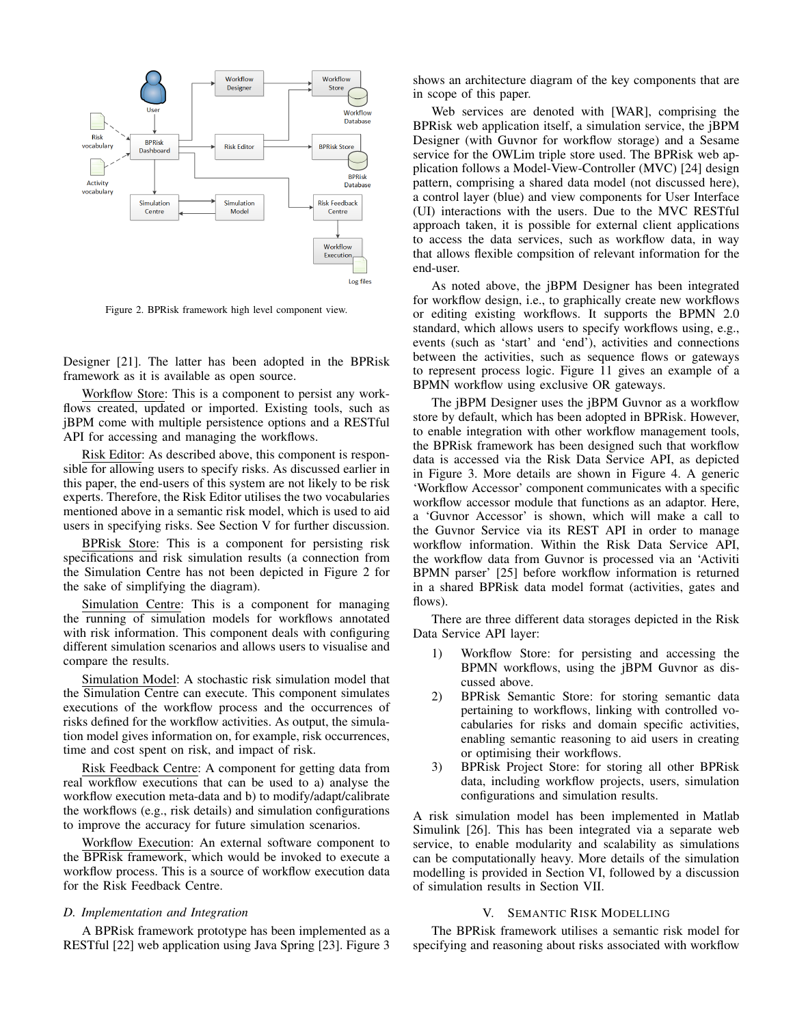

Figure 2. BPRisk framework high level component view.

Designer [21]. The latter has been adopted in the BPRisk framework as it is available as open source.

Workflow Store: This is a component to persist any workflows created, updated or imported. Existing tools, such as jBPM come with multiple persistence options and a RESTful API for accessing and managing the workflows.

Risk Editor: As described above, this component is responsible for allowing users to specify risks. As discussed earlier in this paper, the end-users of this system are not likely to be risk experts. Therefore, the Risk Editor utilises the two vocabularies mentioned above in a semantic risk model, which is used to aid users in specifying risks. See Section V for further discussion.

BPRisk Store: This is a component for persisting risk specifications and risk simulation results (a connection from the Simulation Centre has not been depicted in Figure 2 for the sake of simplifying the diagram).

Simulation Centre: This is a component for managing the running of simulation models for workflows annotated with risk information. This component deals with configuring different simulation scenarios and allows users to visualise and compare the results.

Simulation Model: A stochastic risk simulation model that the Simulation Centre can execute. This component simulates executions of the workflow process and the occurrences of risks defined for the workflow activities. As output, the simulation model gives information on, for example, risk occurrences, time and cost spent on risk, and impact of risk.

Risk Feedback Centre: A component for getting data from real workflow executions that can be used to a) analyse the workflow execution meta-data and b) to modify/adapt/calibrate the workflows (e.g., risk details) and simulation configurations to improve the accuracy for future simulation scenarios.

Workflow Execution: An external software component to the BPRisk framework, which would be invoked to execute a workflow process. This is a source of workflow execution data for the Risk Feedback Centre.

#### *D. Implementation and Integration*

A BPRisk framework prototype has been implemented as a RESTful [22] web application using Java Spring [23]. Figure 3 shows an architecture diagram of the key components that are in scope of this paper.

Web services are denoted with [WAR], comprising the BPRisk web application itself, a simulation service, the jBPM Designer (with Guvnor for workflow storage) and a Sesame service for the OWLim triple store used. The BPRisk web application follows a Model-View-Controller (MVC) [24] design pattern, comprising a shared data model (not discussed here), a control layer (blue) and view components for User Interface (UI) interactions with the users. Due to the MVC RESTful approach taken, it is possible for external client applications to access the data services, such as workflow data, in way that allows flexible compsition of relevant information for the end-user.

As noted above, the jBPM Designer has been integrated for workflow design, i.e., to graphically create new workflows or editing existing workflows. It supports the BPMN 2.0 standard, which allows users to specify workflows using, e.g., events (such as 'start' and 'end'), activities and connections between the activities, such as sequence flows or gateways to represent process logic. Figure 11 gives an example of a BPMN workflow using exclusive OR gateways.

The jBPM Designer uses the jBPM Guvnor as a workflow store by default, which has been adopted in BPRisk. However, to enable integration with other workflow management tools, the BPRisk framework has been designed such that workflow data is accessed via the Risk Data Service API, as depicted in Figure 3. More details are shown in Figure 4. A generic 'Workflow Accessor' component communicates with a specific workflow accessor module that functions as an adaptor. Here, a 'Guvnor Accessor' is shown, which will make a call to the Guvnor Service via its REST API in order to manage workflow information. Within the Risk Data Service API, the workflow data from Guvnor is processed via an 'Activiti BPMN parser' [25] before workflow information is returned in a shared BPRisk data model format (activities, gates and flows).

There are three different data storages depicted in the Risk Data Service API layer:

- 1) Workflow Store: for persisting and accessing the BPMN workflows, using the jBPM Guvnor as discussed above.
- 2) BPRisk Semantic Store: for storing semantic data pertaining to workflows, linking with controlled vocabularies for risks and domain specific activities, enabling semantic reasoning to aid users in creating or optimising their workflows.
- 3) BPRisk Project Store: for storing all other BPRisk data, including workflow projects, users, simulation configurations and simulation results.

A risk simulation model has been implemented in Matlab Simulink [26]. This has been integrated via a separate web service, to enable modularity and scalability as simulations can be computationally heavy. More details of the simulation modelling is provided in Section VI, followed by a discussion of simulation results in Section VII.

## V. SEMANTIC RISK MODELLING

The BPRisk framework utilises a semantic risk model for specifying and reasoning about risks associated with workflow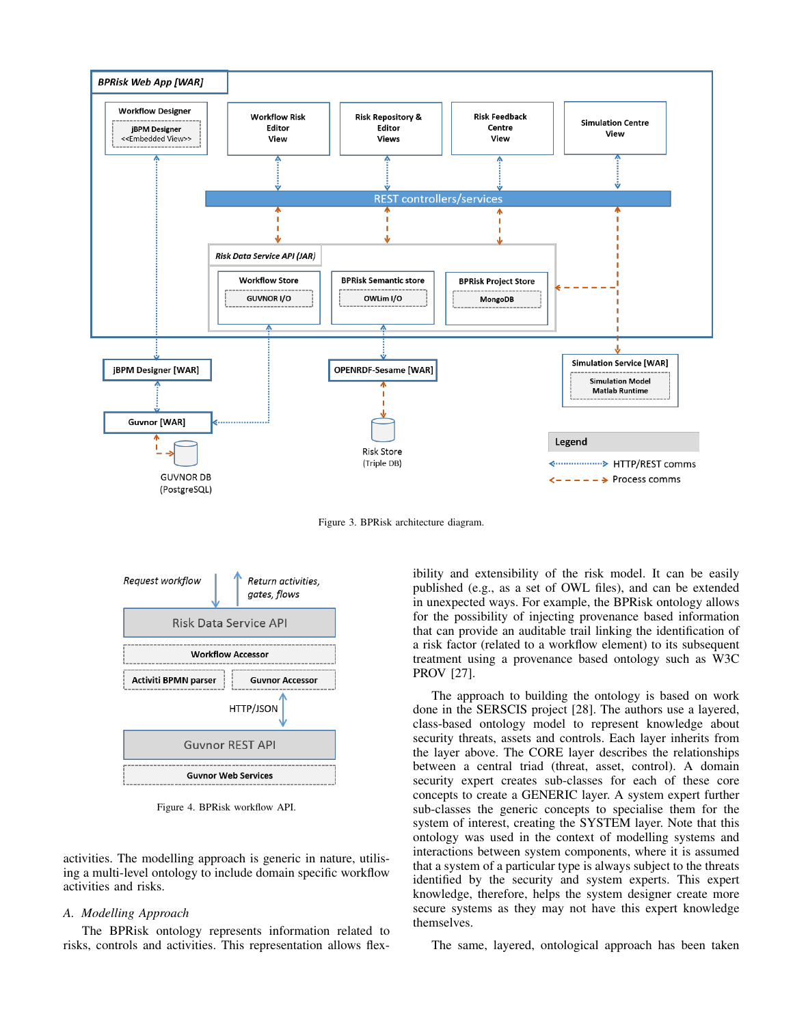

Figure 3. BPRisk architecture diagram.



Figure 4. BPRisk workflow API.

activities. The modelling approach is generic in nature, utilising a multi-level ontology to include domain specific workflow activities and risks.

#### *A. Modelling Approach*

The BPRisk ontology represents information related to risks, controls and activities. This representation allows flexibility and extensibility of the risk model. It can be easily published (e.g., as a set of OWL files), and can be extended in unexpected ways. For example, the BPRisk ontology allows for the possibility of injecting provenance based information that can provide an auditable trail linking the identification of a risk factor (related to a workflow element) to its subsequent treatment using a provenance based ontology such as W3C PROV [27].

The approach to building the ontology is based on work done in the SERSCIS project [28]. The authors use a layered, class-based ontology model to represent knowledge about security threats, assets and controls. Each layer inherits from the layer above. The CORE layer describes the relationships between a central triad (threat, asset, control). A domain security expert creates sub-classes for each of these core concepts to create a GENERIC layer. A system expert further sub-classes the generic concepts to specialise them for the system of interest, creating the SYSTEM layer. Note that this ontology was used in the context of modelling systems and interactions between system components, where it is assumed that a system of a particular type is always subject to the threats identified by the security and system experts. This expert knowledge, therefore, helps the system designer create more secure systems as they may not have this expert knowledge themselves.

The same, layered, ontological approach has been taken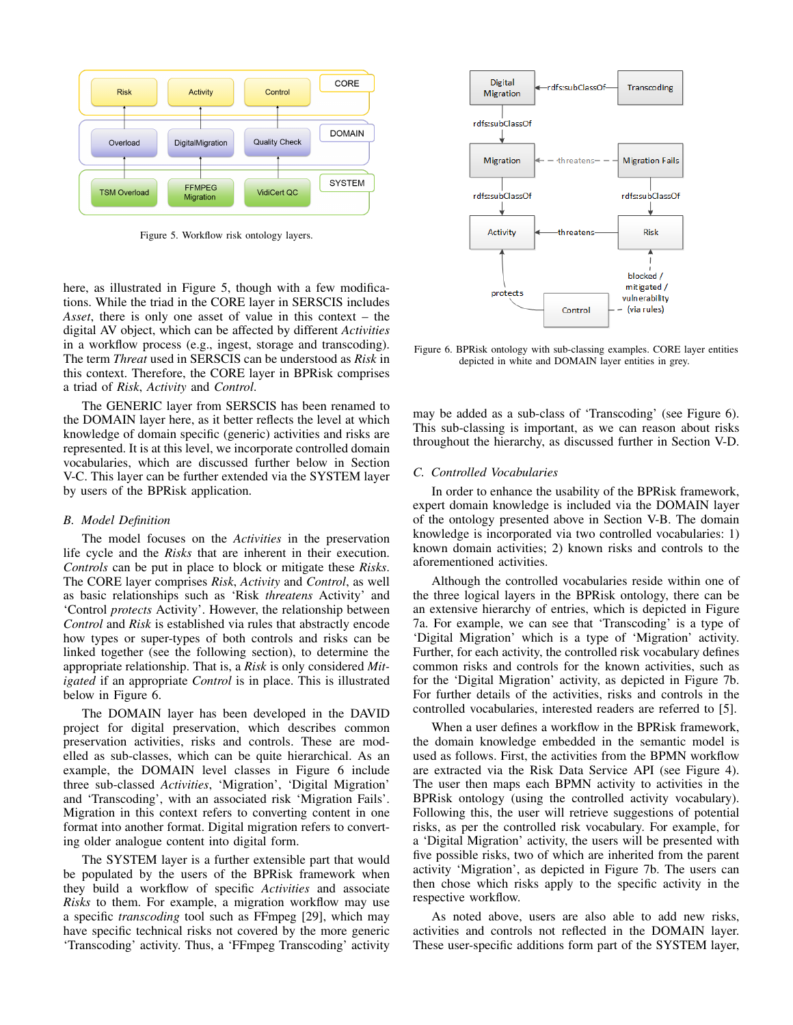

Figure 5. Workflow risk ontology layers.

here, as illustrated in Figure 5, though with a few modifications. While the triad in the CORE layer in SERSCIS includes *Asset*, there is only one asset of value in this context – the digital AV object, which can be affected by different *Activities* in a workflow process (e.g., ingest, storage and transcoding). The term *Threat* used in SERSCIS can be understood as *Risk* in this context. Therefore, the CORE layer in BPRisk comprises a triad of *Risk*, *Activity* and *Control*.

The GENERIC layer from SERSCIS has been renamed to the DOMAIN layer here, as it better reflects the level at which knowledge of domain specific (generic) activities and risks are represented. It is at this level, we incorporate controlled domain vocabularies, which are discussed further below in Section V-C. This layer can be further extended via the SYSTEM layer by users of the BPRisk application.

## *B. Model Definition*

The model focuses on the *Activities* in the preservation life cycle and the *Risks* that are inherent in their execution. *Controls* can be put in place to block or mitigate these *Risks*. The CORE layer comprises *Risk*, *Activity* and *Control*, as well as basic relationships such as 'Risk *threatens* Activity' and 'Control *protects* Activity'. However, the relationship between *Control* and *Risk* is established via rules that abstractly encode how types or super-types of both controls and risks can be linked together (see the following section), to determine the appropriate relationship. That is, a *Risk* is only considered *Mitigated* if an appropriate *Control* is in place. This is illustrated below in Figure 6.

The DOMAIN layer has been developed in the DAVID project for digital preservation, which describes common preservation activities, risks and controls. These are modelled as sub-classes, which can be quite hierarchical. As an example, the DOMAIN level classes in Figure 6 include three sub-classed *Activities*, 'Migration', 'Digital Migration' and 'Transcoding', with an associated risk 'Migration Fails'. Migration in this context refers to converting content in one format into another format. Digital migration refers to converting older analogue content into digital form.

The SYSTEM layer is a further extensible part that would be populated by the users of the BPRisk framework when they build a workflow of specific *Activities* and associate *Risks* to them. For example, a migration workflow may use a specific *transcoding* tool such as FFmpeg [29], which may have specific technical risks not covered by the more generic 'Transcoding' activity. Thus, a 'FFmpeg Transcoding' activity



Figure 6. BPRisk ontology with sub-classing examples. CORE layer entities depicted in white and DOMAIN layer entities in grey.

may be added as a sub-class of 'Transcoding' (see Figure 6). This sub-classing is important, as we can reason about risks throughout the hierarchy, as discussed further in Section V-D.

## *C. Controlled Vocabularies*

In order to enhance the usability of the BPRisk framework, expert domain knowledge is included via the DOMAIN layer of the ontology presented above in Section V-B. The domain knowledge is incorporated via two controlled vocabularies: 1) known domain activities; 2) known risks and controls to the aforementioned activities.

Although the controlled vocabularies reside within one of the three logical layers in the BPRisk ontology, there can be an extensive hierarchy of entries, which is depicted in Figure 7a. For example, we can see that 'Transcoding' is a type of 'Digital Migration' which is a type of 'Migration' activity. Further, for each activity, the controlled risk vocabulary defines common risks and controls for the known activities, such as for the 'Digital Migration' activity, as depicted in Figure 7b. For further details of the activities, risks and controls in the controlled vocabularies, interested readers are referred to [5].

When a user defines a workflow in the BPRisk framework, the domain knowledge embedded in the semantic model is used as follows. First, the activities from the BPMN workflow are extracted via the Risk Data Service API (see Figure 4). The user then maps each BPMN activity to activities in the BPRisk ontology (using the controlled activity vocabulary). Following this, the user will retrieve suggestions of potential risks, as per the controlled risk vocabulary. For example, for a 'Digital Migration' activity, the users will be presented with five possible risks, two of which are inherited from the parent activity 'Migration', as depicted in Figure 7b. The users can then chose which risks apply to the specific activity in the respective workflow.

As noted above, users are also able to add new risks, activities and controls not reflected in the DOMAIN layer. These user-specific additions form part of the SYSTEM layer,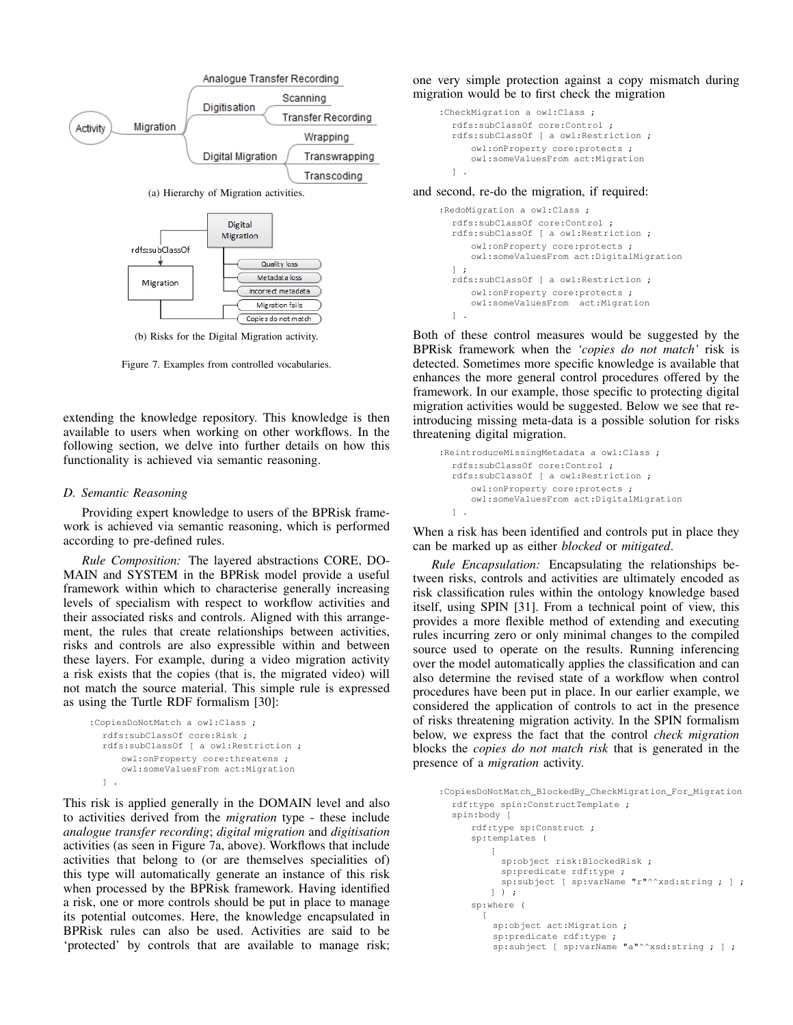

Figure 7. Examples from controlled vocabularies.

extending the knowledge repository. This knowledge is then available to users when working on other workflows. In the following section, we delve into further details on how this functionality is achieved via semantic reasoning.

## *D. Semantic Reasoning*

Providing expert knowledge to users of the BPRisk framework is achieved via semantic reasoning, which is performed according to pre-defined rules.

*Rule Composition:* The layered abstractions CORE, DO-MAIN and SYSTEM in the BPRisk model provide a useful framework within which to characterise generally increasing levels of specialism with respect to workflow activities and their associated risks and controls. Aligned with this arrangement, the rules that create relationships between activities, risks and controls are also expressible within and between these layers. For example, during a video migration activity a risk exists that the copies (that is, the migrated video) will not match the source material. This simple rule is expressed as using the Turtle RDF formalism [30]:

```
:CopiesDoNotMatch a owl:Class ;
  rdfs:subClassOf core:Risk ;
  rdfs:subClassOf [ a owl:Restriction ;
     owl:onProperty core:threatens ;
     owl:someValuesFrom act:Migration
  ] .
```
This risk is applied generally in the DOMAIN level and also to activities derived from the *migration* type - these include *analogue transfer recording*; *digital migration* and *digitisation* activities (as seen in Figure 7a, above). Workflows that include activities that belong to (or are themselves specialities of) this type will automatically generate an instance of this risk when processed by the BPRisk framework. Having identified a risk, one or more controls should be put in place to manage its potential outcomes. Here, the knowledge encapsulated in BPRisk rules can also be used. Activities are said to be 'protected' by controls that are available to manage risk; one very simple protection against a copy mismatch during migration would be to first check the migration

```
:CheckMigration a owl:Class ;
  rdfs:subClassOf core:Control ;
  rdfs:subClassOf [ a owl:Restriction ;
     owl:onProperty core:protects ;
      owl:someValuesFrom act:Migration
  ] .
```
and second, re-do the migration, if required:

```
:RedoMigration a owl:Class ;
  rdfs:subClassOf core:Control ;
  rdfs:subClassOf [ a owl:Restriction ;
      owl:onProperty core:protects ;
     owl:someValuesFrom act:DigitalMigration
  ] ;
  rdfs:subClassOf [ a owl:Restriction ;
      owl:onProperty core:protects ;
      owl:someValuesFrom act:Migration
  ] .
```
Both of these control measures would be suggested by the BPRisk framework when the *'copies do not match'* risk is detected. Sometimes more specific knowledge is available that enhances the more general control procedures offered by the framework. In our example, those specific to protecting digital migration activities would be suggested. Below we see that reintroducing missing meta-data is a possible solution for risks threatening digital migration.

```
:ReintroduceMissingMetadata a owl:Class ;
  rdfs:subClassOf core:Control ;
  rdfs:subClassOf [ a owl:Restriction ;
      owl:onProperty core:protects ;
      owl:someValuesFrom act:DigitalMigration
  \mathbf{1}.
```
When a risk has been identified and controls put in place they can be marked up as either *blocked* or *mitigated*.

*Rule Encapsulation:* Encapsulating the relationships between risks, controls and activities are ultimately encoded as risk classification rules within the ontology knowledge based itself, using SPIN [31]. From a technical point of view, this provides a more flexible method of extending and executing rules incurring zero or only minimal changes to the compiled source used to operate on the results. Running inferencing over the model automatically applies the classification and can also determine the revised state of a workflow when control procedures have been put in place. In our earlier example, we considered the application of controls to act in the presence of risks threatening migration activity. In the SPIN formalism below, we express the fact that the control *check migration* blocks the *copies do not match risk* that is generated in the presence of a *migration* activity.

```
:CopiesDoNotMatch_BlockedBy_CheckMigration_For_Migration
  rdf:type spin:ConstructTemplate ;
  spin:body [
     rdf:type sp:Construct ;
     sp:templates (
         \sqrt{ }sp:object risk:BlockedRisk ;
           sp:predicate rdf:type ;
           sp:subject [ sp:varName "r"^^xsd:string ; ] ;
         ] ) ;
     sp:where (
       [
          sp:object act:Migration ;
          sp:predicate rdf:type ;
          sp:subject [ sp:varName "a"^^xsd:string ; ] ;
```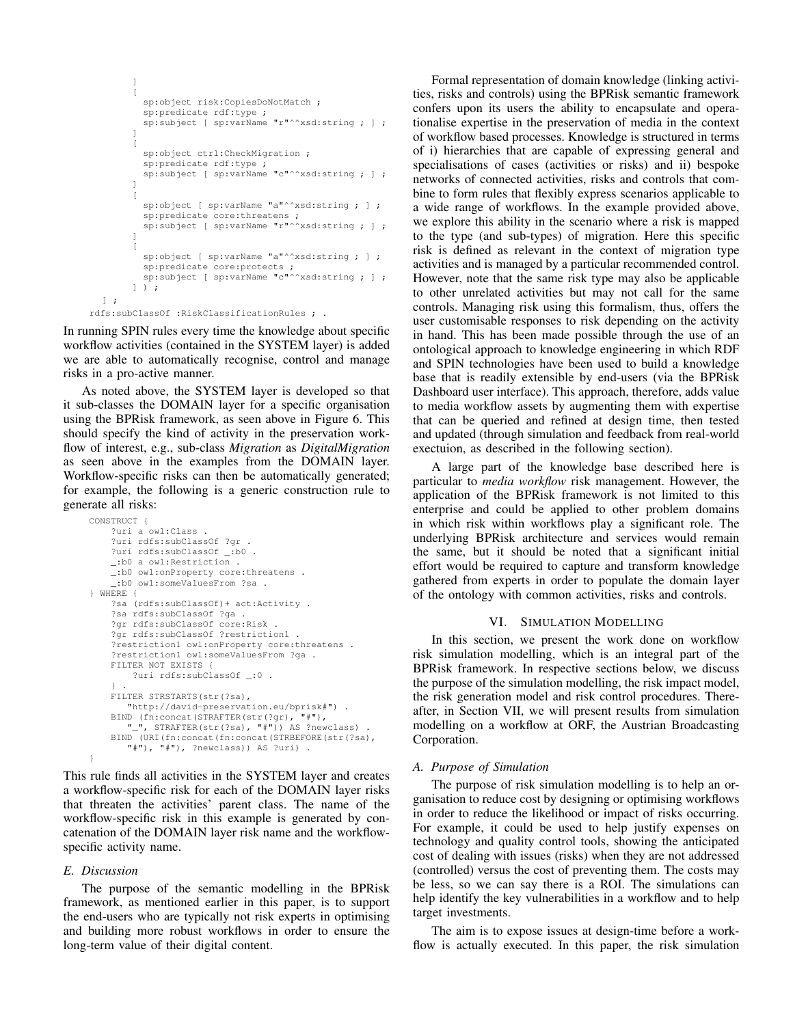```
]
        [
          sp:object risk:CopiesDoNotMatch ;
          sp:predicate rdf:type ;
          sp:subject [ sp:varName "r"^^xsd:string ; ] ;
        ]
        \overline{[}sp:object ctrl:CheckMigration ;
          sp:predicate rdf:type ;
          sp:subject [ sp:varName "c"^^xsd:string ; ] ;
        \begin{array}{c} \hline \end{array}\lceilsp:object [ sp:varName "a"^^xsd:string ; ] ;
          sp:predicate core:threatens ;<br>sp:subject [ sp:varName "r"^^xsd:string ; ] ;
        \begin{array}{c} \hline \end{array}[
          sp:object [ sp:varName "a"^^xsd:string ; ] ;
          sp:predicate core:protects ;
          sp:subject [ sp:varName "c"^^xsd:string ; ] ;
       ] ) ;
] ;
```
rdfs:subClassOf :RiskClassificationRules ; .

In running SPIN rules every time the knowledge about specific workflow activities (contained in the SYSTEM layer) is added we are able to automatically recognise, control and manage risks in a pro-active manner.

As noted above, the SYSTEM layer is developed so that it sub-classes the DOMAIN layer for a specific organisation using the BPRisk framework, as seen above in Figure 6. This should specify the kind of activity in the preservation workflow of interest, e.g., sub-class *Migration* as *DigitalMigration* as seen above in the examples from the DOMAIN layer. Workflow-specific risks can then be automatically generated; for example, the following is a generic construction rule to generate all risks:

```
CONSTRUCT {
    ?uri a owl:Class .
    ?uri rdfs:subClassOf ?gr .
    ?uri rdfs:subClassOf _:b0 .
    _:b0 a owl:Restriction .
    _:b0 owl:onProperty core:threatens .
     _:b0 owl:someValuesFrom ?sa .
} WHERE {
    ?sa (rdfs:subClassOf)+ act:Activity .
    ?sa rdfs:subClassOf ?ga .
    ?gr rdfs:subClassOf core:Risk .
    ?gr rdfs:subClassOf ?restriction1 .
    ?restriction1 owl:onProperty core:threatens .
    ?restriction1 owl:someValuesFrom ?ga .
    FILTER NOT EXISTS {
        ?uri rdfs:subClassOf _:0 .
    } .
    FILTER STRSTARTS(str(?sa),
       "http://david-preservation.eu/bprisk#") .
    BIND (fn:concat(STRAFTER(str(?gr), "#"),
       "_", STRAFTER(str(?sa), "#")) AS ?newclass) .
    BIND (URI(fn:concat(fn:concat(STRBEFORE(str(?sa),
       "#"), "#"), ?newclass)) AS ?uri) .
}
```
This rule finds all activities in the SYSTEM layer and creates a workflow-specific risk for each of the DOMAIN layer risks that threaten the activities' parent class. The name of the workflow-specific risk in this example is generated by concatenation of the DOMAIN layer risk name and the workflowspecific activity name.

# *E. Discussion*

The purpose of the semantic modelling in the BPRisk framework, as mentioned earlier in this paper, is to support the end-users who are typically not risk experts in optimising and building more robust workflows in order to ensure the long-term value of their digital content.

Formal representation of domain knowledge (linking activities, risks and controls) using the BPRisk semantic framework confers upon its users the ability to encapsulate and operationalise expertise in the preservation of media in the context of workflow based processes. Knowledge is structured in terms of i) hierarchies that are capable of expressing general and specialisations of cases (activities or risks) and ii) bespoke networks of connected activities, risks and controls that combine to form rules that flexibly express scenarios applicable to a wide range of workflows. In the example provided above, we explore this ability in the scenario where a risk is mapped to the type (and sub-types) of migration. Here this specific risk is defined as relevant in the context of migration type activities and is managed by a particular recommended control. However, note that the same risk type may also be applicable to other unrelated activities but may not call for the same controls. Managing risk using this formalism, thus, offers the user customisable responses to risk depending on the activity in hand. This has been made possible through the use of an ontological approach to knowledge engineering in which RDF and SPIN technologies have been used to build a knowledge base that is readily extensible by end-users (via the BPRisk Dashboard user interface). This approach, therefore, adds value to media workflow assets by augmenting them with expertise that can be queried and refined at design time, then tested and updated (through simulation and feedback from real-world exectuion, as described in the following section).

A large part of the knowledge base described here is particular to *media workflow* risk management. However, the application of the BPRisk framework is not limited to this enterprise and could be applied to other problem domains in which risk within workflows play a significant role. The underlying BPRisk architecture and services would remain the same, but it should be noted that a significant initial effort would be required to capture and transform knowledge gathered from experts in order to populate the domain layer of the ontology with common activities, risks and controls.

# VI. SIMULATION MODELLING

In this section, we present the work done on workflow risk simulation modelling, which is an integral part of the BPRisk framework. In respective sections below, we discuss the purpose of the simulation modelling, the risk impact model, the risk generation model and risk control procedures. Thereafter, in Section VII, we will present results from simulation modelling on a workflow at ORF, the Austrian Broadcasting Corporation.

# *A. Purpose of Simulation*

The purpose of risk simulation modelling is to help an organisation to reduce cost by designing or optimising workflows in order to reduce the likelihood or impact of risks occurring. For example, it could be used to help justify expenses on technology and quality control tools, showing the anticipated cost of dealing with issues (risks) when they are not addressed (controlled) versus the cost of preventing them. The costs may be less, so we can say there is a ROI. The simulations can help identify the key vulnerabilities in a workflow and to help target investments.

The aim is to expose issues at design-time before a workflow is actually executed. In this paper, the risk simulation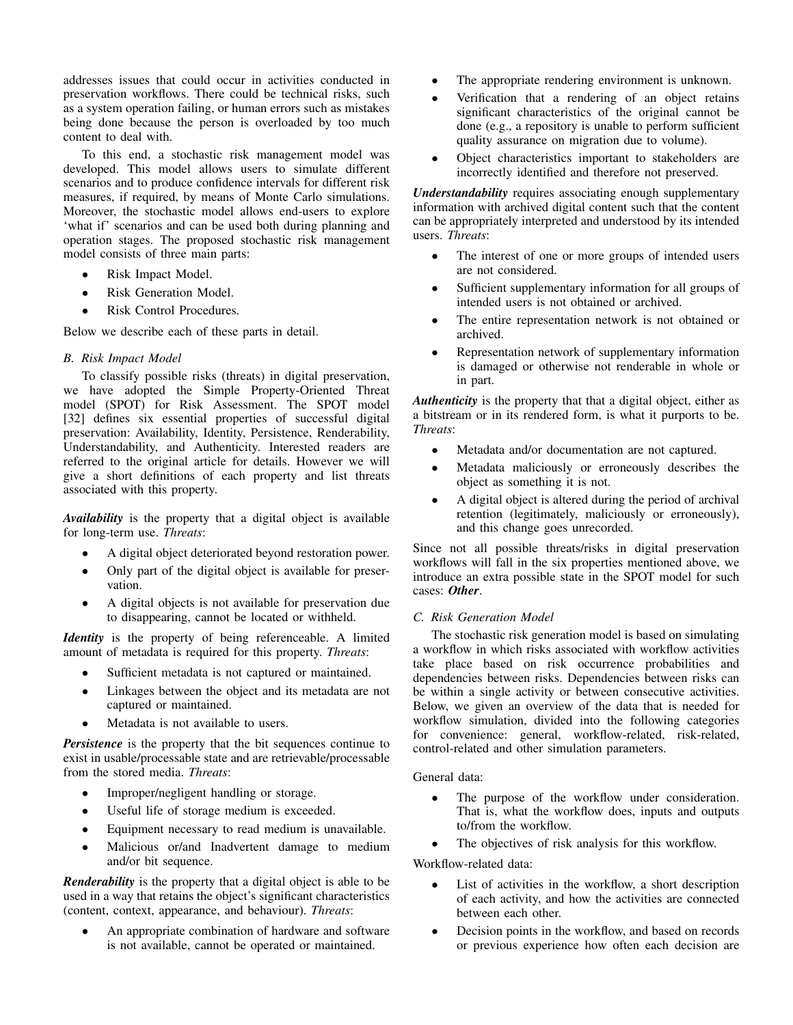addresses issues that could occur in activities conducted in preservation workflows. There could be technical risks, such as a system operation failing, or human errors such as mistakes being done because the person is overloaded by too much content to deal with.

To this end, a stochastic risk management model was developed. This model allows users to simulate different scenarios and to produce confidence intervals for different risk measures, if required, by means of Monte Carlo simulations. Moreover, the stochastic model allows end-users to explore 'what if' scenarios and can be used both during planning and operation stages. The proposed stochastic risk management model consists of three main parts:

- Risk Impact Model.
- Risk Generation Model.
- Risk Control Procedures.

Below we describe each of these parts in detail.

# *B. Risk Impact Model*

To classify possible risks (threats) in digital preservation, we have adopted the Simple Property-Oriented Threat model (SPOT) for Risk Assessment. The SPOT model [32] defines six essential properties of successful digital preservation: Availability, Identity, Persistence, Renderability, Understandability, and Authenticity. Interested readers are referred to the original article for details. However we will give a short definitions of each property and list threats associated with this property.

*Availability* is the property that a digital object is available for long-term use. *Threats*:

- A digital object deteriorated beyond restoration power.
- Only part of the digital object is available for preservation.
- A digital objects is not available for preservation due to disappearing, cannot be located or withheld.

*Identity* is the property of being referenceable. A limited amount of metadata is required for this property. *Threats*:

- Sufficient metadata is not captured or maintained.
- Linkages between the object and its metadata are not captured or maintained.
- Metadata is not available to users.

*Persistence* is the property that the bit sequences continue to exist in usable/processable state and are retrievable/processable from the stored media. *Threats*:

- Improper/negligent handling or storage.
- Useful life of storage medium is exceeded.
- Equipment necessary to read medium is unavailable.
- Malicious or/and Inadvertent damage to medium and/or bit sequence.

*Renderability* is the property that a digital object is able to be used in a way that retains the object's significant characteristics (content, context, appearance, and behaviour). *Threats*:

An appropriate combination of hardware and software is not available, cannot be operated or maintained.

- The appropriate rendering environment is unknown.
- Verification that a rendering of an object retains significant characteristics of the original cannot be done (e.g., a repository is unable to perform sufficient quality assurance on migration due to volume).
- Object characteristics important to stakeholders are incorrectly identified and therefore not preserved.

*Understandability* requires associating enough supplementary information with archived digital content such that the content can be appropriately interpreted and understood by its intended users. *Threats*:

- The interest of one or more groups of intended users are not considered.
- Sufficient supplementary information for all groups of intended users is not obtained or archived.
- The entire representation network is not obtained or archived.
- Representation network of supplementary information is damaged or otherwise not renderable in whole or in part.

*Authenticity* is the property that that a digital object, either as a bitstream or in its rendered form, is what it purports to be. *Threats*:

- Metadata and/or documentation are not captured.
- Metadata maliciously or erroneously describes the object as something it is not.
- A digital object is altered during the period of archival retention (legitimately, maliciously or erroneously), and this change goes unrecorded.

Since not all possible threats/risks in digital preservation workflows will fall in the six properties mentioned above, we introduce an extra possible state in the SPOT model for such cases: *Other*.

# *C. Risk Generation Model*

The stochastic risk generation model is based on simulating a workflow in which risks associated with workflow activities take place based on risk occurrence probabilities and dependencies between risks. Dependencies between risks can be within a single activity or between consecutive activities. Below, we given an overview of the data that is needed for workflow simulation, divided into the following categories for convenience: general, workflow-related, risk-related, control-related and other simulation parameters.

General data:

- The purpose of the workflow under consideration. That is, what the workflow does, inputs and outputs to/from the workflow.
- The objectives of risk analysis for this workflow.

Workflow-related data:

- List of activities in the workflow, a short description of each activity, and how the activities are connected between each other.
- Decision points in the workflow, and based on records or previous experience how often each decision are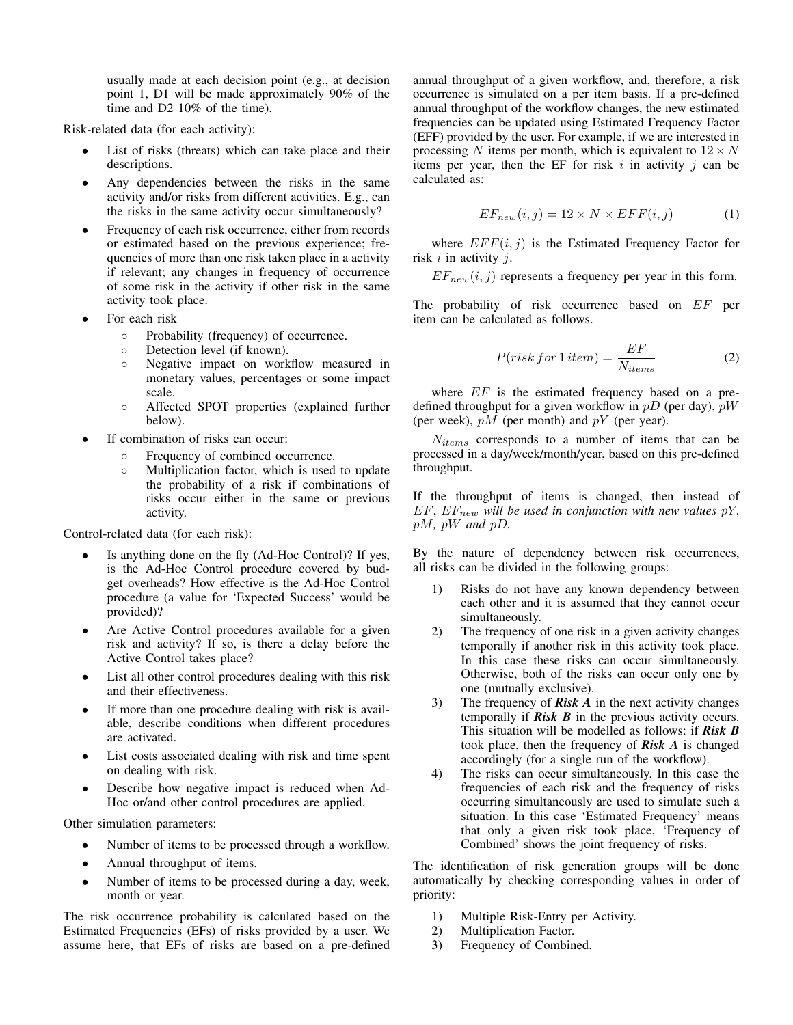usually made at each decision point (e.g., at decision point 1, D1 will be made approximately 90% of the time and D2 10% of the time).

Risk-related data (for each activity):

- List of risks (threats) which can take place and their descriptions.
- Any dependencies between the risks in the same activity and/or risks from different activities. E.g., can the risks in the same activity occur simultaneously?
- Frequency of each risk occurrence, either from records or estimated based on the previous experience; frequencies of more than one risk taken place in a activity if relevant; any changes in frequency of occurrence of some risk in the activity if other risk in the same activity took place.
- For each risk
	- Probability (frequency) of occurrence.
	- Detection level (if known).
	- Negative impact on workflow measured in monetary values, percentages or some impact scale.
	- Affected SPOT properties (explained further below).
- If combination of risks can occur:
	- Frequency of combined occurrence.
	- Multiplication factor, which is used to update the probability of a risk if combinations of risks occur either in the same or previous activity.

Control-related data (for each risk):

- Is anything done on the fly (Ad-Hoc Control)? If yes, is the Ad-Hoc Control procedure covered by budget overheads? How effective is the Ad-Hoc Control procedure (a value for 'Expected Success' would be provided)?
- Are Active Control procedures available for a given risk and activity? If so, is there a delay before the Active Control takes place?
- List all other control procedures dealing with this risk and their effectiveness.
- If more than one procedure dealing with risk is available, describe conditions when different procedures are activated.
- List costs associated dealing with risk and time spent on dealing with risk.
- Describe how negative impact is reduced when Ad-Hoc or/and other control procedures are applied.

Other simulation parameters:

- Number of items to be processed through a workflow.
- Annual throughput of items.
- Number of items to be processed during a day, week, month or year.

The risk occurrence probability is calculated based on the Estimated Frequencies (EFs) of risks provided by a user. We assume here, that EFs of risks are based on a pre-defined annual throughput of a given workflow, and, therefore, a risk occurrence is simulated on a per item basis. If a pre-defined annual throughput of the workflow changes, the new estimated frequencies can be updated using Estimated Frequency Factor (EFF) provided by the user. For example, if we are interested in processing N items per month, which is equivalent to  $12 \times N$ items per year, then the EF for risk  $i$  in activity  $j$  can be calculated as:

$$
EF_{new}(i,j) = 12 \times N \times EFF(i,j)
$$
 (1)

where  $EFF(i, j)$  is the Estimated Frequency Factor for risk  $i$  in activity  $i$ .

 $EF_{new}(i, j)$  represents a frequency per year in this form.

The probability of risk occurrence based on EF per item can be calculated as follows.

$$
P(risk for 1\,item) = \frac{EF}{N_{items}}\tag{2}
$$

where  $EF$  is the estimated frequency based on a predefined throughput for a given workflow in  $pD$  (per day),  $pW$ (per week),  $pM$  (per month) and  $pY$  (per year).

 $N_{items}$  corresponds to a number of items that can be processed in a day/week/month/year, based on this pre-defined throughput.

If the throughput of items is changed, then instead of  $EF, EF_{new}$  will be used in conjunction with new values  $pY$ , pM*,* pW *and* pD*.*

By the nature of dependency between risk occurrences, all risks can be divided in the following groups:

- 1) Risks do not have any known dependency between each other and it is assumed that they cannot occur simultaneously.
- 2) The frequency of one risk in a given activity changes temporally if another risk in this activity took place. In this case these risks can occur simultaneously. Otherwise, both of the risks can occur only one by one (mutually exclusive).
- 3) The frequency of *Risk A* in the next activity changes temporally if *Risk B* in the previous activity occurs. This situation will be modelled as follows: if *Risk B* took place, then the frequency of *Risk A* is changed accordingly (for a single run of the workflow).
- 4) The risks can occur simultaneously. In this case the frequencies of each risk and the frequency of risks occurring simultaneously are used to simulate such a situation. In this case 'Estimated Frequency' means that only a given risk took place, 'Frequency of Combined' shows the joint frequency of risks.

The identification of risk generation groups will be done automatically by checking corresponding values in order of priority:

- 1) Multiple Risk-Entry per Activity.
- 2) Multiplication Factor.
- 3) Frequency of Combined.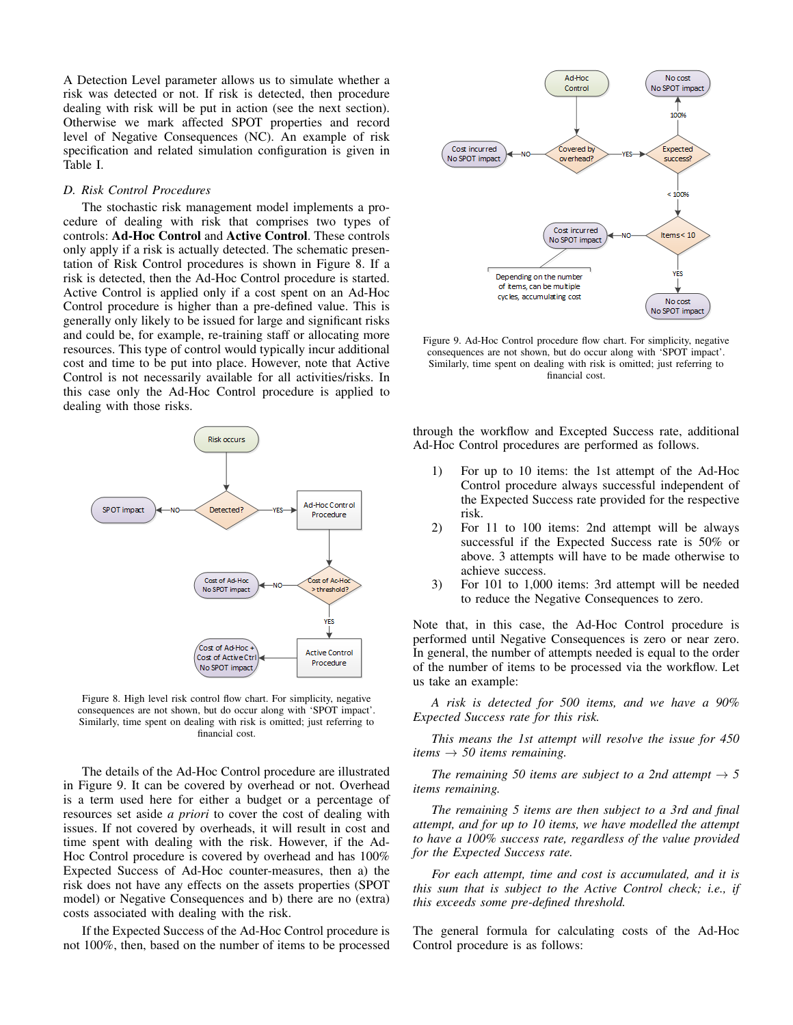A Detection Level parameter allows us to simulate whether a risk was detected or not. If risk is detected, then procedure dealing with risk will be put in action (see the next section). Otherwise we mark affected SPOT properties and record level of Negative Consequences (NC). An example of risk specification and related simulation configuration is given in Table I.

## *D. Risk Control Procedures*

The stochastic risk management model implements a procedure of dealing with risk that comprises two types of controls: Ad-Hoc Control and Active Control. These controls only apply if a risk is actually detected. The schematic presentation of Risk Control procedures is shown in Figure 8. If a risk is detected, then the Ad-Hoc Control procedure is started. Active Control is applied only if a cost spent on an Ad-Hoc Control procedure is higher than a pre-defined value. This is generally only likely to be issued for large and significant risks and could be, for example, re-training staff or allocating more resources. This type of control would typically incur additional cost and time to be put into place. However, note that Active Control is not necessarily available for all activities/risks. In this case only the Ad-Hoc Control procedure is applied to dealing with those risks.



Figure 8. High level risk control flow chart. For simplicity, negative consequences are not shown, but do occur along with 'SPOT impact'. Similarly, time spent on dealing with risk is omitted; just referring to financial cost.

The details of the Ad-Hoc Control procedure are illustrated in Figure 9. It can be covered by overhead or not. Overhead is a term used here for either a budget or a percentage of resources set aside *a priori* to cover the cost of dealing with issues. If not covered by overheads, it will result in cost and time spent with dealing with the risk. However, if the Ad-Hoc Control procedure is covered by overhead and has 100% Expected Success of Ad-Hoc counter-measures, then a) the risk does not have any effects on the assets properties (SPOT model) or Negative Consequences and b) there are no (extra) costs associated with dealing with the risk.

If the Expected Success of the Ad-Hoc Control procedure is not 100%, then, based on the number of items to be processed



Figure 9. Ad-Hoc Control procedure flow chart. For simplicity, negative consequences are not shown, but do occur along with 'SPOT impact'. Similarly, time spent on dealing with risk is omitted; just referring to financial cost.

through the workflow and Excepted Success rate, additional Ad-Hoc Control procedures are performed as follows.

- 1) For up to 10 items: the 1st attempt of the Ad-Hoc Control procedure always successful independent of the Expected Success rate provided for the respective risk.
- 2) For 11 to 100 items: 2nd attempt will be always successful if the Expected Success rate is 50% or above. 3 attempts will have to be made otherwise to achieve success.
- 3) For 101 to 1,000 items: 3rd attempt will be needed to reduce the Negative Consequences to zero.

Note that, in this case, the Ad-Hoc Control procedure is performed until Negative Consequences is zero or near zero. In general, the number of attempts needed is equal to the order of the number of items to be processed via the workflow. Let us take an example:

*A risk is detected for 500 items, and we have a 90% Expected Success rate for this risk.*

*This means the 1st attempt will resolve the issue for 450 items*  $\rightarrow$  *50 items remaining.* 

*The remaining 50 items are subject to a 2nd attempt*  $\rightarrow$  5 *items remaining.*

*The remaining 5 items are then subject to a 3rd and final attempt, and for up to 10 items, we have modelled the attempt to have a 100% success rate, regardless of the value provided for the Expected Success rate.*

*For each attempt, time and cost is accumulated, and it is this sum that is subject to the Active Control check; i.e., if this exceeds some pre-defined threshold.*

The general formula for calculating costs of the Ad-Hoc Control procedure is as follows: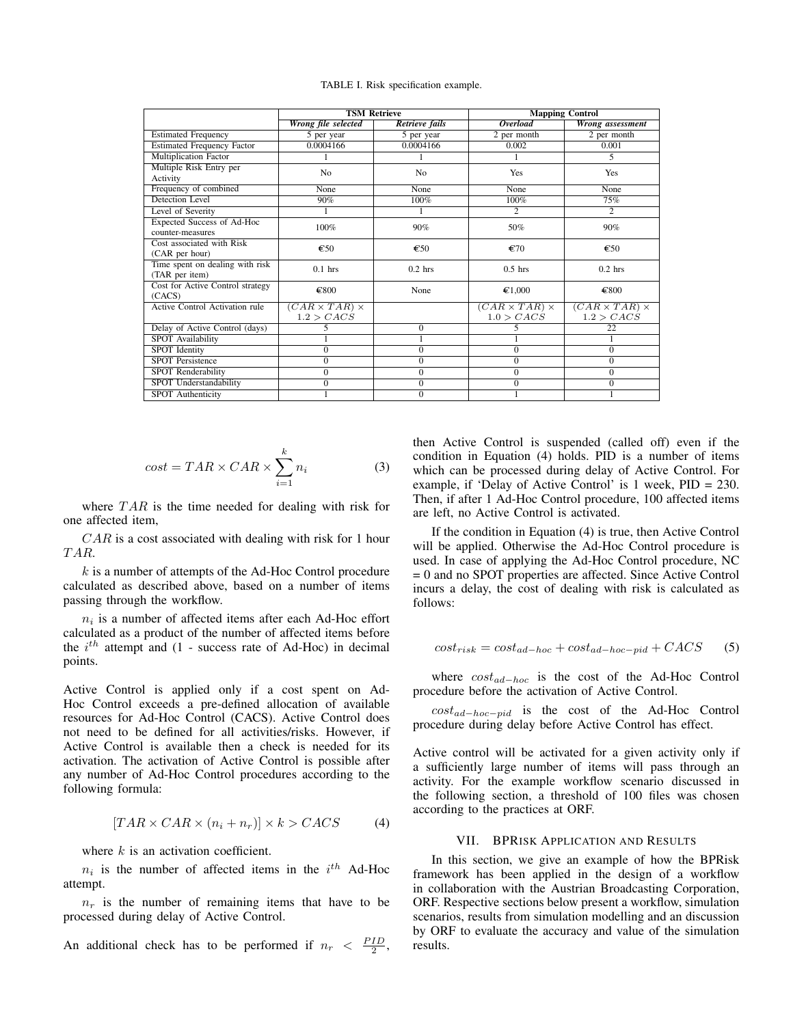TABLE I. Risk specification example.

|                                                   | <b>TSM Retrieve</b>                     |                       | <b>Mapping Control</b>                  |                                         |  |
|---------------------------------------------------|-----------------------------------------|-----------------------|-----------------------------------------|-----------------------------------------|--|
|                                                   | Wrong file selected                     | <b>Retrieve fails</b> | <i><b>Overload</b></i>                  | Wrong assessment                        |  |
| <b>Estimated Frequency</b>                        | 5 per year                              | 5 per year            | 2 per month                             | 2 per month                             |  |
| <b>Estimated Frequency Factor</b>                 | 0.0004166                               | 0.0004166             | 0.002                                   | 0.001                                   |  |
| <b>Multiplication Factor</b>                      |                                         |                       |                                         | 5                                       |  |
| Multiple Risk Entry per<br>Activity               | N <sub>0</sub>                          | N <sub>0</sub>        | Yes                                     | Yes                                     |  |
| Frequency of combined                             | None                                    | None                  | None                                    | None                                    |  |
| Detection Level                                   | 90%                                     | 100%                  | 100%                                    | 75%                                     |  |
| Level of Severity                                 |                                         |                       | $\overline{2}$                          | $\overline{2}$                          |  |
| Expected Success of Ad-Hoc<br>counter-measures    | 100%                                    | 90%                   | 50%                                     | 90%                                     |  |
| Cost associated with Risk<br>(CAR per hour)       | €50                                     | €50                   | €70                                     | €50                                     |  |
| Time spent on dealing with risk<br>(TAR per item) | $0.1$ hrs                               | $0.2$ hrs             | $0.5$ hrs                               | $0.2$ hrs                               |  |
| Cost for Active Control strategy<br>(CACS)        | €800                                    | None                  | $\epsilon$ 1,000                        | €800                                    |  |
| Active Control Activation rule                    | $(CAR \times TAR) \times$<br>1.2 > CACS |                       | $(CAR \times TAR) \times$<br>1.0 > CACS | $(CAR \times TAR) \times$<br>1.2 > CACS |  |
| Delay of Active Control (days)                    | 5                                       | $\mathbf{0}$          |                                         | 22                                      |  |
| <b>SPOT</b> Availability                          |                                         |                       |                                         |                                         |  |
| <b>SPOT</b> Identity                              | $\mathbf{0}$                            | $\overline{0}$        | 0                                       | $\Omega$                                |  |
| <b>SPOT</b> Persistence                           | $\overline{0}$                          | $\overline{0}$        | $\overline{0}$                          | $\Omega$                                |  |
| <b>SPOT Renderability</b>                         | $\mathbf{0}$                            | $\overline{0}$        | 0                                       | $\Omega$                                |  |
| <b>SPOT</b> Understandability                     | $\mathbf{0}$                            | $\mathbf{0}$          | 0                                       | $\boldsymbol{0}$                        |  |
| <b>SPOT</b> Authenticity                          |                                         | $\mathbf{0}$          |                                         |                                         |  |

$$
cost = TAR \times CAR \times \sum_{i=1}^{k} n_i
$$
 (3)

where  $TAR$  is the time needed for dealing with risk for one affected item,

 $CAR$  is a cost associated with dealing with risk for 1 hour T AR.

 $k$  is a number of attempts of the Ad-Hoc Control procedure calculated as described above, based on a number of items passing through the workflow.

 $n_i$  is a number of affected items after each Ad-Hoc effort calculated as a product of the number of affected items before the  $i^{th}$  attempt and (1 - success rate of Ad-Hoc) in decimal points.

Active Control is applied only if a cost spent on Ad-Hoc Control exceeds a pre-defined allocation of available resources for Ad-Hoc Control (CACS). Active Control does not need to be defined for all activities/risks. However, if Active Control is available then a check is needed for its activation. The activation of Active Control is possible after any number of Ad-Hoc Control procedures according to the following formula:

$$
[TAR \times CAR \times (n_i + n_r)] \times k > CACS \tag{4}
$$

where  $k$  is an activation coefficient.

 $n_i$  is the number of affected items in the  $i^{th}$  Ad-Hoc attempt.

 $n_r$  is the number of remaining items that have to be processed during delay of Active Control.

An additional check has to be performed if  $n_r < \frac{PID}{2}$ ,

then Active Control is suspended (called off) even if the condition in Equation (4) holds. PID is a number of items which can be processed during delay of Active Control. For example, if 'Delay of Active Control' is 1 week, PID = 230. Then, if after 1 Ad-Hoc Control procedure, 100 affected items are left, no Active Control is activated.

If the condition in Equation (4) is true, then Active Control will be applied. Otherwise the Ad-Hoc Control procedure is used. In case of applying the Ad-Hoc Control procedure, NC = 0 and no SPOT properties are affected. Since Active Control incurs a delay, the cost of dealing with risk is calculated as follows:

$$
cost_{risk} = cost_{ad-hoc} + cost_{ad-hoc-pid} + CACS
$$
 (5)

where costad−hoc is the cost of the Ad-Hoc Control procedure before the activation of Active Control.

costad−hoc−pid is the cost of the Ad-Hoc Control procedure during delay before Active Control has effect.

Active control will be activated for a given activity only if a sufficiently large number of items will pass through an activity. For the example workflow scenario discussed in the following section, a threshold of 100 files was chosen according to the practices at ORF.

## VII. BPRISK APPLICATION AND RESULTS

In this section, we give an example of how the BPRisk framework has been applied in the design of a workflow in collaboration with the Austrian Broadcasting Corporation, ORF. Respective sections below present a workflow, simulation scenarios, results from simulation modelling and an discussion by ORF to evaluate the accuracy and value of the simulation results.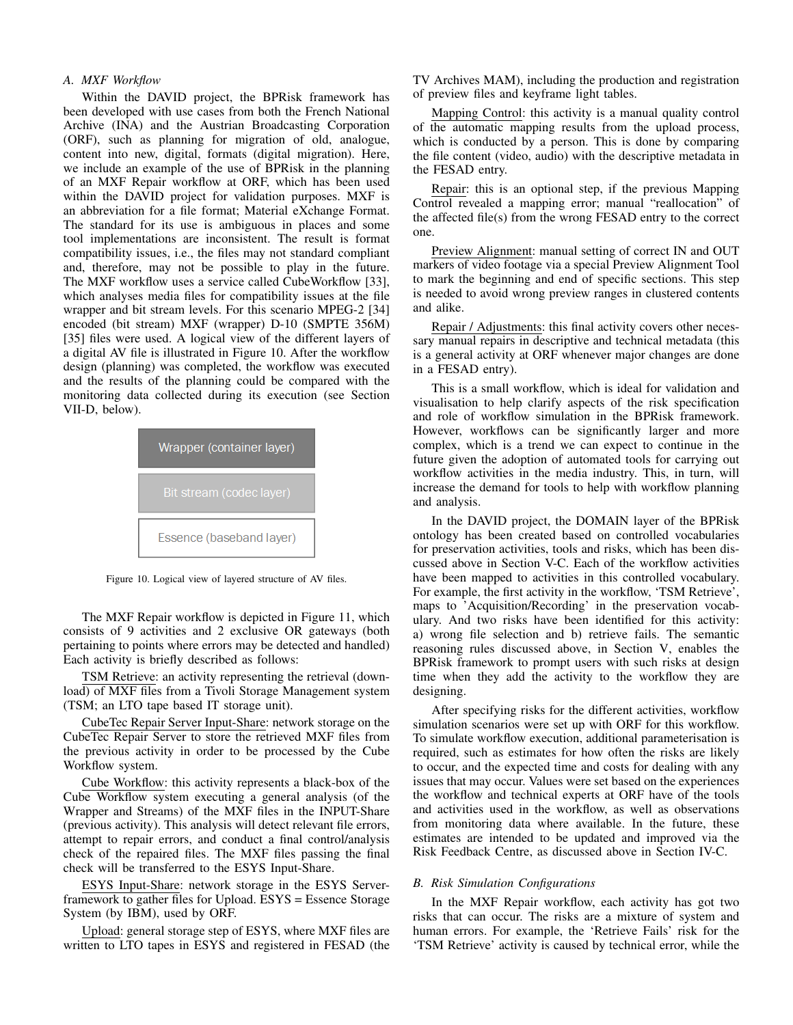## *A. MXF Workflow*

Within the DAVID project, the BPRisk framework has been developed with use cases from both the French National Archive (INA) and the Austrian Broadcasting Corporation (ORF), such as planning for migration of old, analogue, content into new, digital, formats (digital migration). Here, we include an example of the use of BPRisk in the planning of an MXF Repair workflow at ORF, which has been used within the DAVID project for validation purposes. MXF is an abbreviation for a file format; Material eXchange Format. The standard for its use is ambiguous in places and some tool implementations are inconsistent. The result is format compatibility issues, i.e., the files may not standard compliant and, therefore, may not be possible to play in the future. The MXF workflow uses a service called CubeWorkflow [33], which analyses media files for compatibility issues at the file wrapper and bit stream levels. For this scenario MPEG-2 [34] encoded (bit stream) MXF (wrapper) D-10 (SMPTE 356M) [35] files were used. A logical view of the different layers of a digital AV file is illustrated in Figure 10. After the workflow design (planning) was completed, the workflow was executed and the results of the planning could be compared with the monitoring data collected during its execution (see Section VII-D, below).



Figure 10. Logical view of layered structure of AV files.

The MXF Repair workflow is depicted in Figure 11, which consists of 9 activities and 2 exclusive OR gateways (both pertaining to points where errors may be detected and handled) Each activity is briefly described as follows:

TSM Retrieve: an activity representing the retrieval (download) of MXF files from a Tivoli Storage Management system (TSM; an LTO tape based IT storage unit).

CubeTec Repair Server Input-Share: network storage on the CubeTec Repair Server to store the retrieved MXF files from the previous activity in order to be processed by the Cube Workflow system.

Cube Workflow: this activity represents a black-box of the Cube Workflow system executing a general analysis (of the Wrapper and Streams) of the MXF files in the INPUT-Share (previous activity). This analysis will detect relevant file errors, attempt to repair errors, and conduct a final control/analysis check of the repaired files. The MXF files passing the final check will be transferred to the ESYS Input-Share.

ESYS Input-Share: network storage in the ESYS Serverframework to gather files for Upload. ESYS = Essence Storage System (by IBM), used by ORF.

Upload: general storage step of ESYS, where MXF files are written to LTO tapes in ESYS and registered in FESAD (the TV Archives MAM), including the production and registration of preview files and keyframe light tables.

Mapping Control: this activity is a manual quality control of the automatic mapping results from the upload process, which is conducted by a person. This is done by comparing the file content (video, audio) with the descriptive metadata in the FESAD entry.

Repair: this is an optional step, if the previous Mapping Control revealed a mapping error; manual "reallocation" of the affected file(s) from the wrong FESAD entry to the correct one.

Preview Alignment: manual setting of correct IN and OUT markers of video footage via a special Preview Alignment Tool to mark the beginning and end of specific sections. This step is needed to avoid wrong preview ranges in clustered contents and alike.

Repair / Adjustments: this final activity covers other necessary manual repairs in descriptive and technical metadata (this is a general activity at ORF whenever major changes are done in a FESAD entry).

This is a small workflow, which is ideal for validation and visualisation to help clarify aspects of the risk specification and role of workflow simulation in the BPRisk framework. However, workflows can be significantly larger and more complex, which is a trend we can expect to continue in the future given the adoption of automated tools for carrying out workflow activities in the media industry. This, in turn, will increase the demand for tools to help with workflow planning and analysis.

In the DAVID project, the DOMAIN layer of the BPRisk ontology has been created based on controlled vocabularies for preservation activities, tools and risks, which has been discussed above in Section V-C. Each of the workflow activities have been mapped to activities in this controlled vocabulary. For example, the first activity in the workflow, 'TSM Retrieve', maps to 'Acquisition/Recording' in the preservation vocabulary. And two risks have been identified for this activity: a) wrong file selection and b) retrieve fails. The semantic reasoning rules discussed above, in Section V, enables the BPRisk framework to prompt users with such risks at design time when they add the activity to the workflow they are designing.

After specifying risks for the different activities, workflow simulation scenarios were set up with ORF for this workflow. To simulate workflow execution, additional parameterisation is required, such as estimates for how often the risks are likely to occur, and the expected time and costs for dealing with any issues that may occur. Values were set based on the experiences the workflow and technical experts at ORF have of the tools and activities used in the workflow, as well as observations from monitoring data where available. In the future, these estimates are intended to be updated and improved via the Risk Feedback Centre, as discussed above in Section IV-C.

#### *B. Risk Simulation Configurations*

In the MXF Repair workflow, each activity has got two risks that can occur. The risks are a mixture of system and human errors. For example, the 'Retrieve Fails' risk for the 'TSM Retrieve' activity is caused by technical error, while the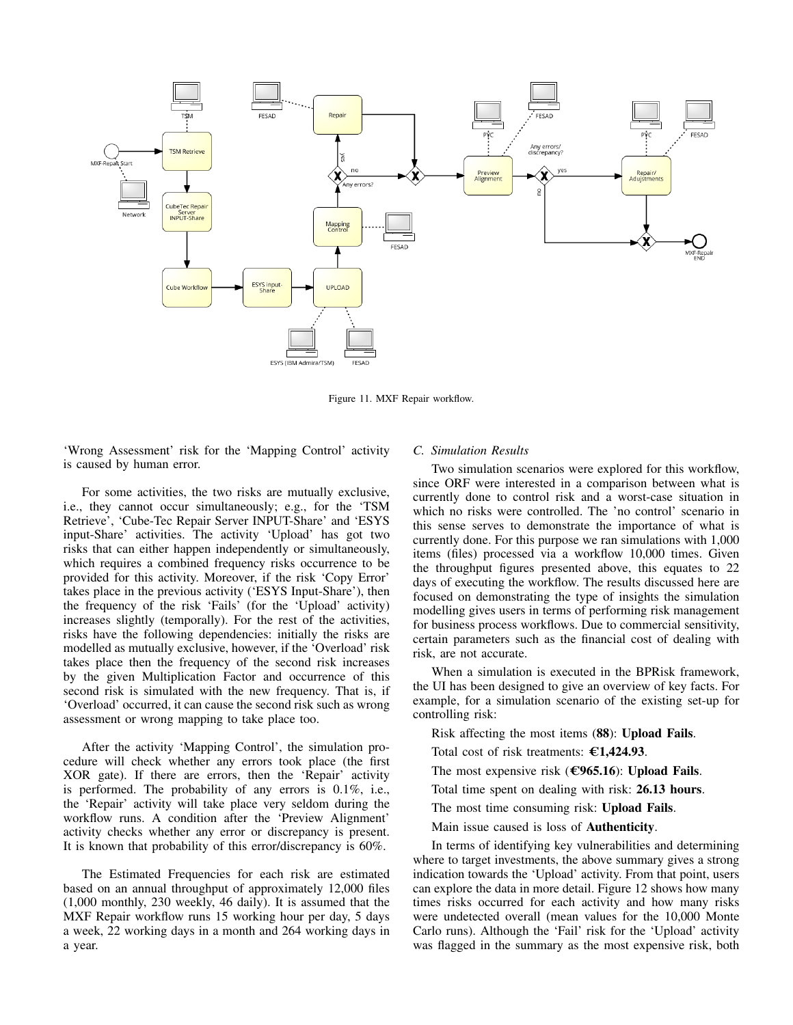

Figure 11. MXF Repair workflow.

'Wrong Assessment' risk for the 'Mapping Control' activity is caused by human error.

For some activities, the two risks are mutually exclusive, i.e., they cannot occur simultaneously; e.g., for the 'TSM Retrieve', 'Cube-Tec Repair Server INPUT-Share' and 'ESYS input-Share' activities. The activity 'Upload' has got two risks that can either happen independently or simultaneously, which requires a combined frequency risks occurrence to be provided for this activity. Moreover, if the risk 'Copy Error' takes place in the previous activity ('ESYS Input-Share'), then the frequency of the risk 'Fails' (for the 'Upload' activity) increases slightly (temporally). For the rest of the activities, risks have the following dependencies: initially the risks are modelled as mutually exclusive, however, if the 'Overload' risk takes place then the frequency of the second risk increases by the given Multiplication Factor and occurrence of this second risk is simulated with the new frequency. That is, if 'Overload' occurred, it can cause the second risk such as wrong assessment or wrong mapping to take place too.

After the activity 'Mapping Control', the simulation procedure will check whether any errors took place (the first XOR gate). If there are errors, then the 'Repair' activity is performed. The probability of any errors is 0.1%, i.e., the 'Repair' activity will take place very seldom during the workflow runs. A condition after the 'Preview Alignment' activity checks whether any error or discrepancy is present. It is known that probability of this error/discrepancy is 60%.

The Estimated Frequencies for each risk are estimated based on an annual throughput of approximately 12,000 files (1,000 monthly, 230 weekly, 46 daily). It is assumed that the MXF Repair workflow runs 15 working hour per day, 5 days a week, 22 working days in a month and 264 working days in a year.

## *C. Simulation Results*

Two simulation scenarios were explored for this workflow, since ORF were interested in a comparison between what is currently done to control risk and a worst-case situation in which no risks were controlled. The 'no control' scenario in this sense serves to demonstrate the importance of what is currently done. For this purpose we ran simulations with 1,000 items (files) processed via a workflow 10,000 times. Given the throughput figures presented above, this equates to 22 days of executing the workflow. The results discussed here are focused on demonstrating the type of insights the simulation modelling gives users in terms of performing risk management for business process workflows. Due to commercial sensitivity, certain parameters such as the financial cost of dealing with risk, are not accurate.

When a simulation is executed in the BPRisk framework, the UI has been designed to give an overview of key facts. For example, for a simulation scenario of the existing set-up for controlling risk:

Risk affecting the most items (88): Upload Fails.

Total cost of risk treatments:  $\epsilon$ 1,424.93.

The most expensive risk ( $\epsilon$ 965.16): Upload Fails.

Total time spent on dealing with risk: 26.13 hours.

The most time consuming risk: Upload Fails.

Main issue caused is loss of Authenticity.

In terms of identifying key vulnerabilities and determining where to target investments, the above summary gives a strong indication towards the 'Upload' activity. From that point, users can explore the data in more detail. Figure 12 shows how many times risks occurred for each activity and how many risks were undetected overall (mean values for the 10,000 Monte Carlo runs). Although the 'Fail' risk for the 'Upload' activity was flagged in the summary as the most expensive risk, both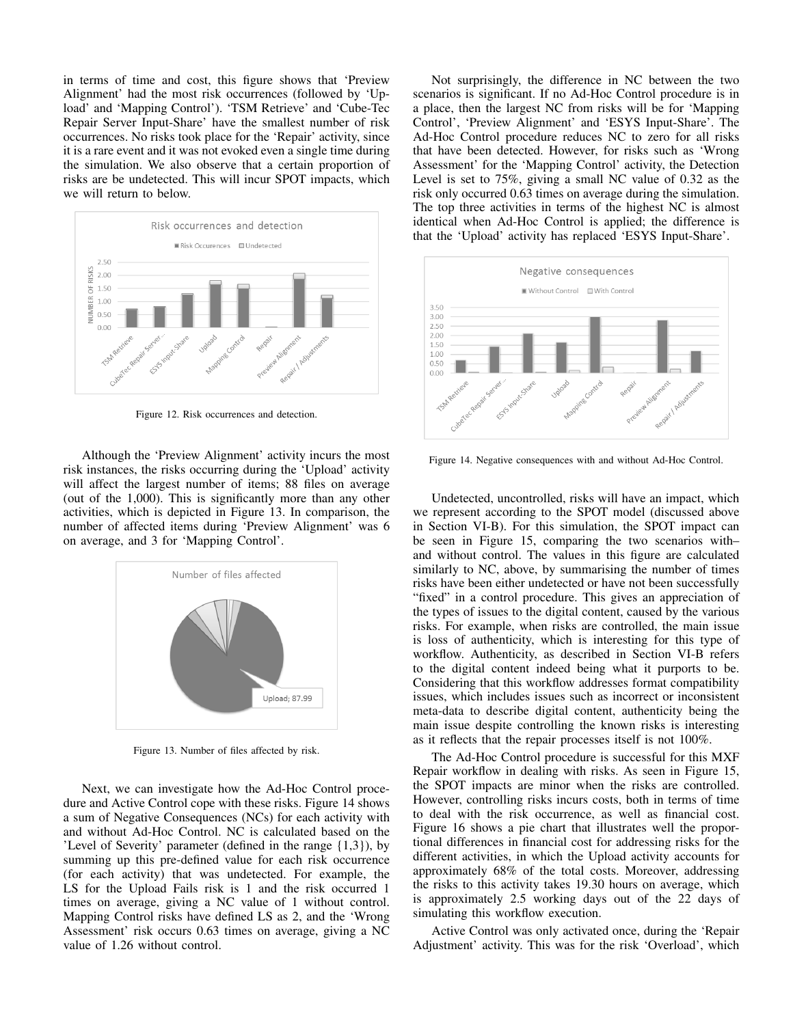in terms of time and cost, this figure shows that 'Preview Alignment' had the most risk occurrences (followed by 'Upload' and 'Mapping Control'). 'TSM Retrieve' and 'Cube-Tec Repair Server Input-Share' have the smallest number of risk occurrences. No risks took place for the 'Repair' activity, since it is a rare event and it was not evoked even a single time during the simulation. We also observe that a certain proportion of risks are be undetected. This will incur SPOT impacts, which we will return to below.



Figure 12. Risk occurrences and detection.

Although the 'Preview Alignment' activity incurs the most risk instances, the risks occurring during the 'Upload' activity will affect the largest number of items; 88 files on average (out of the 1,000). This is significantly more than any other activities, which is depicted in Figure 13. In comparison, the number of affected items during 'Preview Alignment' was 6 on average, and 3 for 'Mapping Control'.



Figure 13. Number of files affected by risk.

Next, we can investigate how the Ad-Hoc Control procedure and Active Control cope with these risks. Figure 14 shows a sum of Negative Consequences (NCs) for each activity with and without Ad-Hoc Control. NC is calculated based on the 'Level of Severity' parameter (defined in the range {1,3}), by summing up this pre-defined value for each risk occurrence (for each activity) that was undetected. For example, the LS for the Upload Fails risk is 1 and the risk occurred 1 times on average, giving a NC value of 1 without control. Mapping Control risks have defined LS as 2, and the 'Wrong Assessment' risk occurs 0.63 times on average, giving a NC value of 1.26 without control.

Not surprisingly, the difference in NC between the two scenarios is significant. If no Ad-Hoc Control procedure is in a place, then the largest NC from risks will be for 'Mapping Control', 'Preview Alignment' and 'ESYS Input-Share'. The Ad-Hoc Control procedure reduces NC to zero for all risks that have been detected. However, for risks such as 'Wrong Assessment' for the 'Mapping Control' activity, the Detection Level is set to 75%, giving a small NC value of 0.32 as the risk only occurred 0.63 times on average during the simulation. The top three activities in terms of the highest NC is almost identical when Ad-Hoc Control is applied; the difference is that the 'Upload' activity has replaced 'ESYS Input-Share'.



Figure 14. Negative consequences with and without Ad-Hoc Control.

Undetected, uncontrolled, risks will have an impact, which we represent according to the SPOT model (discussed above in Section VI-B). For this simulation, the SPOT impact can be seen in Figure 15, comparing the two scenarios with– and without control. The values in this figure are calculated similarly to NC, above, by summarising the number of times risks have been either undetected or have not been successfully "fixed" in a control procedure. This gives an appreciation of the types of issues to the digital content, caused by the various risks. For example, when risks are controlled, the main issue is loss of authenticity, which is interesting for this type of workflow. Authenticity, as described in Section VI-B refers to the digital content indeed being what it purports to be. Considering that this workflow addresses format compatibility issues, which includes issues such as incorrect or inconsistent meta-data to describe digital content, authenticity being the main issue despite controlling the known risks is interesting as it reflects that the repair processes itself is not 100%.

The Ad-Hoc Control procedure is successful for this MXF Repair workflow in dealing with risks. As seen in Figure 15, the SPOT impacts are minor when the risks are controlled. However, controlling risks incurs costs, both in terms of time to deal with the risk occurrence, as well as financial cost. Figure 16 shows a pie chart that illustrates well the proportional differences in financial cost for addressing risks for the different activities, in which the Upload activity accounts for approximately 68% of the total costs. Moreover, addressing the risks to this activity takes 19.30 hours on average, which is approximately 2.5 working days out of the 22 days of simulating this workflow execution.

Active Control was only activated once, during the 'Repair Adjustment' activity. This was for the risk 'Overload', which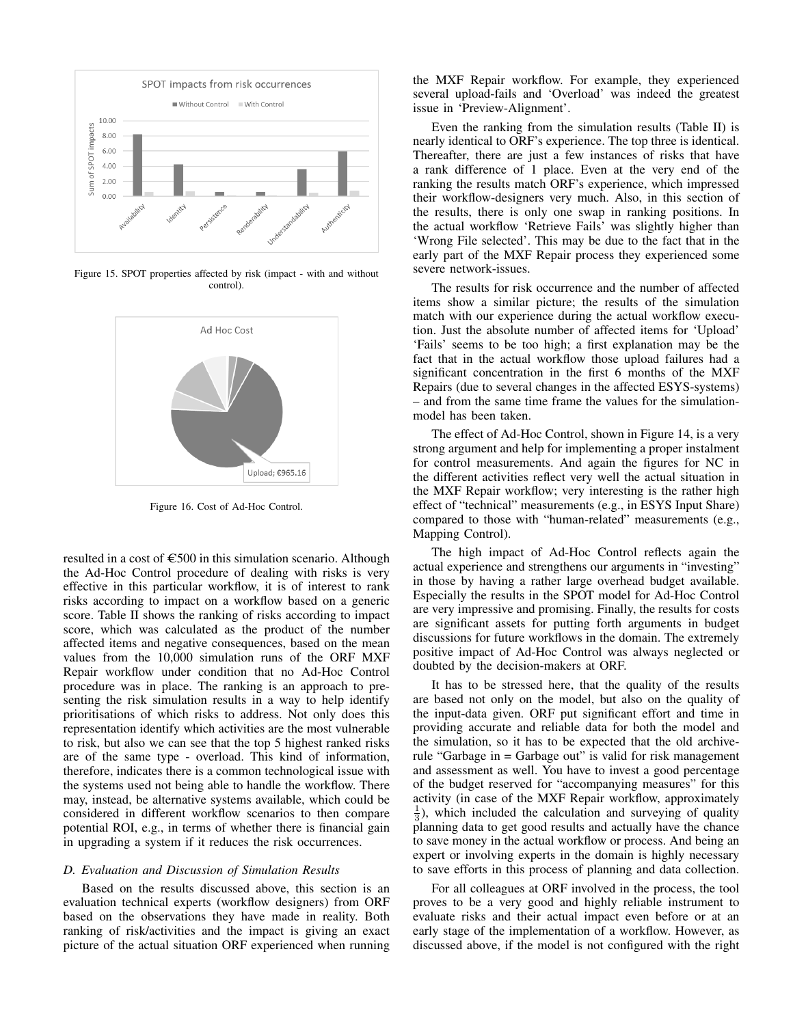

Figure 15. SPOT properties affected by risk (impact - with and without control).



Figure 16. Cost of Ad-Hoc Control.

resulted in a cost of  $\epsilon$ 500 in this simulation scenario. Although the Ad-Hoc Control procedure of dealing with risks is very effective in this particular workflow, it is of interest to rank risks according to impact on a workflow based on a generic score. Table II shows the ranking of risks according to impact score, which was calculated as the product of the number affected items and negative consequences, based on the mean values from the 10,000 simulation runs of the ORF MXF Repair workflow under condition that no Ad-Hoc Control procedure was in place. The ranking is an approach to presenting the risk simulation results in a way to help identify prioritisations of which risks to address. Not only does this representation identify which activities are the most vulnerable to risk, but also we can see that the top 5 highest ranked risks are of the same type - overload. This kind of information, therefore, indicates there is a common technological issue with the systems used not being able to handle the workflow. There may, instead, be alternative systems available, which could be considered in different workflow scenarios to then compare potential ROI, e.g., in terms of whether there is financial gain in upgrading a system if it reduces the risk occurrences.

## *D. Evaluation and Discussion of Simulation Results*

Based on the results discussed above, this section is an evaluation technical experts (workflow designers) from ORF based on the observations they have made in reality. Both ranking of risk/activities and the impact is giving an exact picture of the actual situation ORF experienced when running the MXF Repair workflow. For example, they experienced several upload-fails and 'Overload' was indeed the greatest issue in 'Preview-Alignment'.

Even the ranking from the simulation results (Table II) is nearly identical to ORF's experience. The top three is identical. Thereafter, there are just a few instances of risks that have a rank difference of 1 place. Even at the very end of the ranking the results match ORF's experience, which impressed their workflow-designers very much. Also, in this section of the results, there is only one swap in ranking positions. In the actual workflow 'Retrieve Fails' was slightly higher than 'Wrong File selected'. This may be due to the fact that in the early part of the MXF Repair process they experienced some severe network-issues.

The results for risk occurrence and the number of affected items show a similar picture; the results of the simulation match with our experience during the actual workflow execution. Just the absolute number of affected items for 'Upload' 'Fails' seems to be too high; a first explanation may be the fact that in the actual workflow those upload failures had a significant concentration in the first 6 months of the MXF Repairs (due to several changes in the affected ESYS-systems) – and from the same time frame the values for the simulationmodel has been taken.

The effect of Ad-Hoc Control, shown in Figure 14, is a very strong argument and help for implementing a proper instalment for control measurements. And again the figures for NC in the different activities reflect very well the actual situation in the MXF Repair workflow; very interesting is the rather high effect of "technical" measurements (e.g., in ESYS Input Share) compared to those with "human-related" measurements (e.g., Mapping Control).

The high impact of Ad-Hoc Control reflects again the actual experience and strengthens our arguments in "investing" in those by having a rather large overhead budget available. Especially the results in the SPOT model for Ad-Hoc Control are very impressive and promising. Finally, the results for costs are significant assets for putting forth arguments in budget discussions for future workflows in the domain. The extremely positive impact of Ad-Hoc Control was always neglected or doubted by the decision-makers at ORF.

It has to be stressed here, that the quality of the results are based not only on the model, but also on the quality of the input-data given. ORF put significant effort and time in providing accurate and reliable data for both the model and the simulation, so it has to be expected that the old archiverule "Garbage in = Garbage out" is valid for risk management and assessment as well. You have to invest a good percentage of the budget reserved for "accompanying measures" for this activity (in case of the MXF Repair workflow, approximately  $\frac{1}{3}$ ), which included the calculation and surveying of quality planning data to get good results and actually have the chance to save money in the actual workflow or process. And being an expert or involving experts in the domain is highly necessary to save efforts in this process of planning and data collection.

For all colleagues at ORF involved in the process, the tool proves to be a very good and highly reliable instrument to evaluate risks and their actual impact even before or at an early stage of the implementation of a workflow. However, as discussed above, if the model is not configured with the right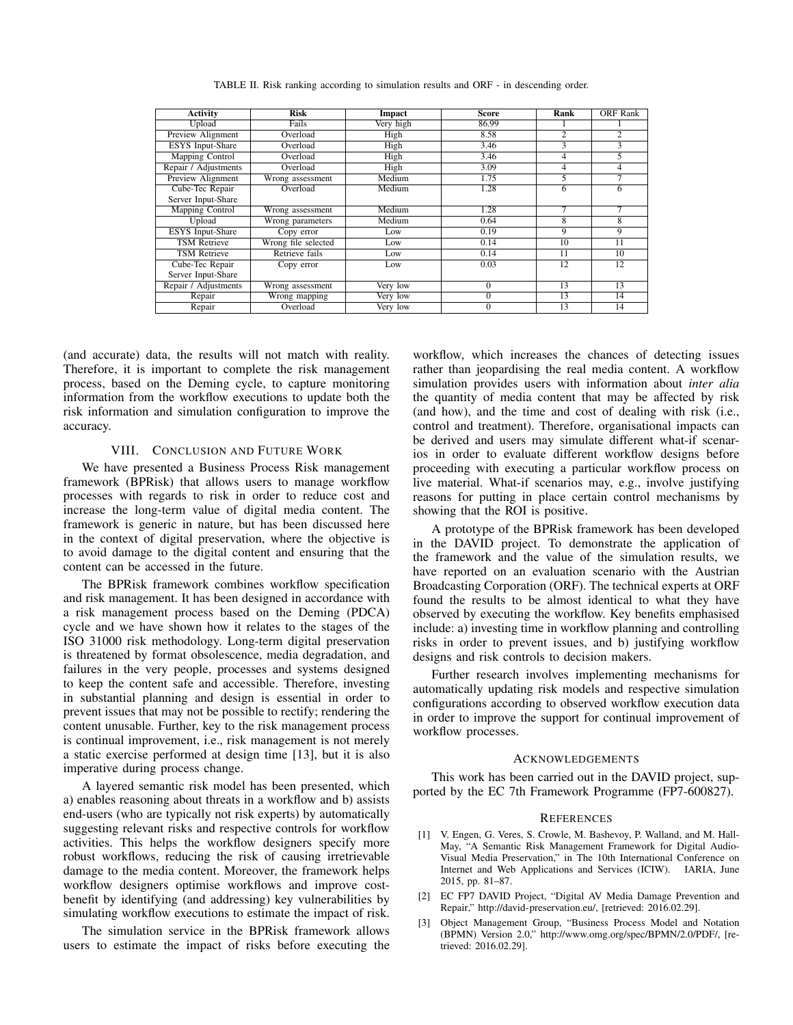| Activity                | Risk                | Impact    | Score          | Rank           | <b>ORF</b> Rank |
|-------------------------|---------------------|-----------|----------------|----------------|-----------------|
| Upload                  | Fails               | Very high | 86.99          |                |                 |
| Preview Alignment       | Overload            | High      | 8.58           | $\overline{2}$ | $\overline{2}$  |
| <b>ESYS</b> Input-Share | Overload            | High      | 3.46           | 3              | $\overline{3}$  |
| Mapping Control         | Overload            | High      | 3.46           | 4              | 5               |
| Repair / Adjustments    | Overload            | High      | 3.09           | 4              | 4               |
| Preview Alignment       | Wrong assessment    | Medium    | 1.75           | 5              | 7               |
| Cube-Tec Repair         | Overload            | Medium    | 1.28           | 6              | 6               |
| Server Input-Share      |                     |           |                |                |                 |
| Mapping Control         | Wrong assessment    | Medium    | 1.28           | 7              | 7               |
| Upload                  | Wrong parameters    | Medium    | 0.64           | $\overline{8}$ | $\overline{8}$  |
| <b>ESYS</b> Input-Share | Copy error          | Low       | 0.19           | 9              | 9               |
| <b>TSM Retrieve</b>     | Wrong file selected | Low       | 0.14           | 10             | 11              |
| <b>TSM Retrieve</b>     | Retrieve fails      | Low       | 0.14           | 11             | 10              |
| Cube-Tec Repair         | Copy error          | Low       | 0.03           | 12             | 12              |
| Server Input-Share      |                     |           |                |                |                 |
| Repair / Adjustments    | Wrong assessment    | Very low  | $\Omega$       | 13             | 13              |
| Repair                  | Wrong mapping       | Very low  | $\Omega$       | 13             | 14              |
| Repair                  | Overload            | Very low  | $\overline{0}$ | 13             | 14              |

TABLE II. Risk ranking according to simulation results and ORF - in descending order.

(and accurate) data, the results will not match with reality. Therefore, it is important to complete the risk management process, based on the Deming cycle, to capture monitoring information from the workflow executions to update both the risk information and simulation configuration to improve the accuracy.

#### VIII. CONCLUSION AND FUTURE WORK

We have presented a Business Process Risk management framework (BPRisk) that allows users to manage workflow processes with regards to risk in order to reduce cost and increase the long-term value of digital media content. The framework is generic in nature, but has been discussed here in the context of digital preservation, where the objective is to avoid damage to the digital content and ensuring that the content can be accessed in the future.

The BPRisk framework combines workflow specification and risk management. It has been designed in accordance with a risk management process based on the Deming (PDCA) cycle and we have shown how it relates to the stages of the ISO 31000 risk methodology. Long-term digital preservation is threatened by format obsolescence, media degradation, and failures in the very people, processes and systems designed to keep the content safe and accessible. Therefore, investing in substantial planning and design is essential in order to prevent issues that may not be possible to rectify; rendering the content unusable. Further, key to the risk management process is continual improvement, i.e., risk management is not merely a static exercise performed at design time [13], but it is also imperative during process change.

A layered semantic risk model has been presented, which a) enables reasoning about threats in a workflow and b) assists end-users (who are typically not risk experts) by automatically suggesting relevant risks and respective controls for workflow activities. This helps the workflow designers specify more robust workflows, reducing the risk of causing irretrievable damage to the media content. Moreover, the framework helps workflow designers optimise workflows and improve costbenefit by identifying (and addressing) key vulnerabilities by simulating workflow executions to estimate the impact of risk.

The simulation service in the BPRisk framework allows users to estimate the impact of risks before executing the workflow, which increases the chances of detecting issues rather than jeopardising the real media content. A workflow simulation provides users with information about *inter alia* the quantity of media content that may be affected by risk (and how), and the time and cost of dealing with risk (i.e., control and treatment). Therefore, organisational impacts can be derived and users may simulate different what-if scenarios in order to evaluate different workflow designs before proceeding with executing a particular workflow process on live material. What-if scenarios may, e.g., involve justifying reasons for putting in place certain control mechanisms by showing that the ROI is positive.

A prototype of the BPRisk framework has been developed in the DAVID project. To demonstrate the application of the framework and the value of the simulation results, we have reported on an evaluation scenario with the Austrian Broadcasting Corporation (ORF). The technical experts at ORF found the results to be almost identical to what they have observed by executing the workflow. Key benefits emphasised include: a) investing time in workflow planning and controlling risks in order to prevent issues, and b) justifying workflow designs and risk controls to decision makers.

Further research involves implementing mechanisms for automatically updating risk models and respective simulation configurations according to observed workflow execution data in order to improve the support for continual improvement of workflow processes.

#### ACKNOWLEDGEMENTS

This work has been carried out in the DAVID project, supported by the EC 7th Framework Programme (FP7-600827).

#### **REFERENCES**

- [1] V. Engen, G. Veres, S. Crowle, M. Bashevoy, P. Walland, and M. Hall-May, "A Semantic Risk Management Framework for Digital Audio-Visual Media Preservation," in The 10th International Conference on Internet and Web Applications and Services (ICIW). IARIA, June 2015, pp. 81–87.
- [2] EC FP7 DAVID Project, "Digital AV Media Damage Prevention and Repair," http://david-preservation.eu/, [retrieved: 2016.02.29].
- [3] Object Management Group, "Business Process Model and Notation (BPMN) Version 2.0," http://www.omg.org/spec/BPMN/2.0/PDF/, [retrieved: 2016.02.29].